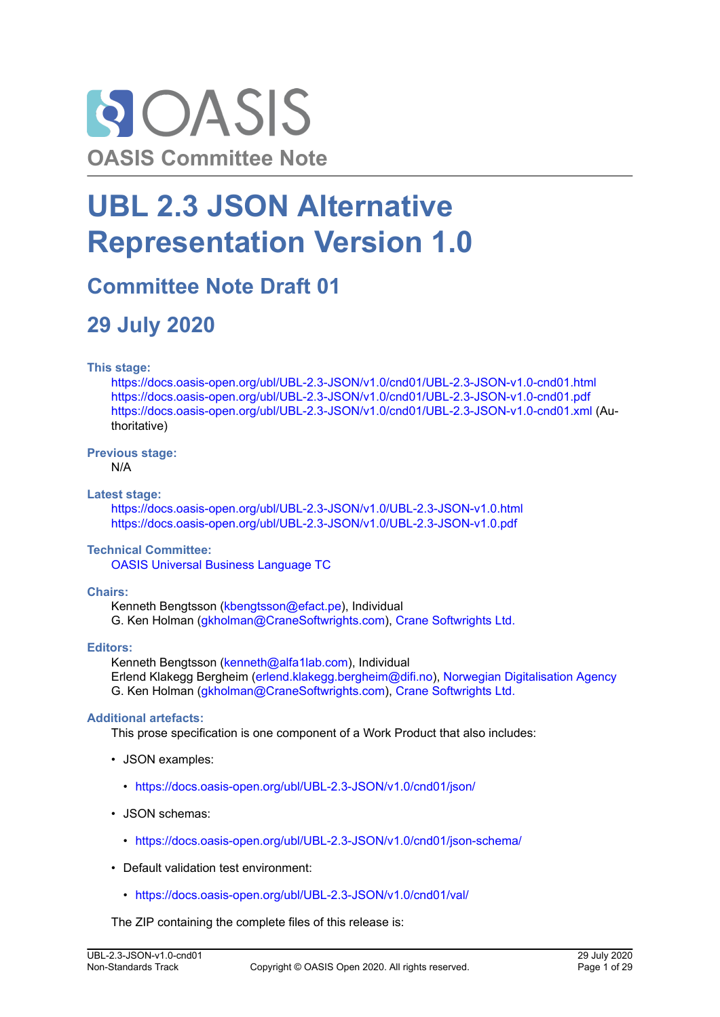

# **UBL 2.3 JSON Alternative Representation Version 1.0**

## **Committee Note Draft 01**

## **29 July 2020**

### **This stage:**

<https://docs.oasis-open.org/ubl/UBL-2.3-JSON/v1.0/cnd01/UBL-2.3-JSON-v1.0-cnd01.html> <https://docs.oasis-open.org/ubl/UBL-2.3-JSON/v1.0/cnd01/UBL-2.3-JSON-v1.0-cnd01.pdf> <https://docs.oasis-open.org/ubl/UBL-2.3-JSON/v1.0/cnd01/UBL-2.3-JSON-v1.0-cnd01.xml>(Authoritative)

### **Previous stage:**

N/A

### **Latest stage:**

<https://docs.oasis-open.org/ubl/UBL-2.3-JSON/v1.0/UBL-2.3-JSON-v1.0.html> <https://docs.oasis-open.org/ubl/UBL-2.3-JSON/v1.0/UBL-2.3-JSON-v1.0.pdf>

### **Technical Committee:**

[OASIS Universal Business Language TC](https://www.oasis-open.org/committees/ubl/)

### **Chairs:**

Kenneth Bengtsson [\(kbengtsson@efact.pe](mailto:kbengtsson@efact.pe)), Individual G. Ken Holman [\(gkholman@CraneSoftwrights.com](mailto:gkholman@CraneSoftwrights.com)), [Crane Softwrights Ltd.](http://www.CraneSoftwrights.com/links/info-ubl.htm)

### **Editors:**

Kenneth Bengtsson [\(kenneth@alfa1lab.com\)](mailto:kenneth@alfa1lab.com), Individual Erlend Klakegg Bergheim ([erlend.klakegg.bergheim@difi.no\)](mailto:erlend.klakegg.bergheim@difi.no), [Norwegian Digitalisation Agency](http://www.difi.no) G. Ken Holman [\(gkholman@CraneSoftwrights.com](mailto:gkholman@CraneSoftwrights.com)), [Crane Softwrights Ltd.](http://www.CraneSoftwrights.com/links/info-ubl21.htm)

### **Additional artefacts:**

This prose specification is one component of a Work Product that also includes:

- JSON examples:
	- <https://docs.oasis-open.org/ubl/UBL-2.3-JSON/v1.0/cnd01/json/>
- JSON schemas:
	- <https://docs.oasis-open.org/ubl/UBL-2.3-JSON/v1.0/cnd01/json-schema/>
- Default validation test environment:
	- <https://docs.oasis-open.org/ubl/UBL-2.3-JSON/v1.0/cnd01/val/>

The ZIP containing the complete files of this release is: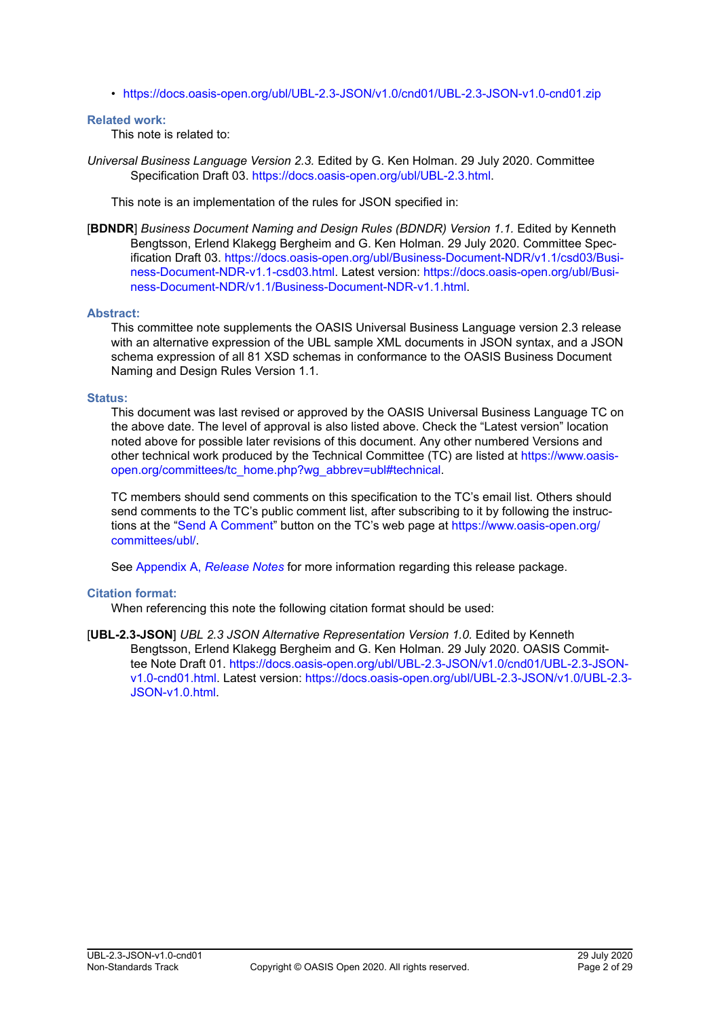• <https://docs.oasis-open.org/ubl/UBL-2.3-JSON/v1.0/cnd01/UBL-2.3-JSON-v1.0-cnd01.zip>

#### **Related work:**

This note is related to:

*Universal Business Language Version 2.3.* Edited by G. Ken Holman. 29 July 2020. Committee Specification Draft 03. [https://docs.oasis-open.org/ubl/UBL-2.3.html.](https://docs.oasis-open.org/ubl/UBL-2.3.html)

This note is an implementation of the rules for JSON specified in:

[**BDNDR**] *Business Document Naming and Design Rules (BDNDR) Version 1.1.* Edited by Kenneth Bengtsson, Erlend Klakegg Bergheim and G. Ken Holman. 29 July 2020. Committee Specification Draft 03. [https://docs.oasis-open.org/ubl/Business-Document-NDR/v1.1/csd03/Busi](https://docs.oasis-open.org/ubl/Business-Document-NDR/v1.1/csd03/Business-Document-NDR-v1.1-csd03.html)[ness-Document-NDR-v1.1-csd03.html.](https://docs.oasis-open.org/ubl/Business-Document-NDR/v1.1/csd03/Business-Document-NDR-v1.1-csd03.html) Latest version: [https://docs.oasis-open.org/ubl/Busi](https://docs.oasis-open.org/ubl/Business-Document-NDR/v1.1/Business-Document-NDR-v1.1.html)[ness-Document-NDR/v1.1/Business-Document-NDR-v1.1.html.](https://docs.oasis-open.org/ubl/Business-Document-NDR/v1.1/Business-Document-NDR-v1.1.html)

### **Abstract:**

This committee note supplements the OASIS Universal Business Language version 2.3 release with an alternative expression of the UBL sample XML documents in JSON syntax, and a JSON schema expression of all 81 XSD schemas in conformance to the OASIS Business Document Naming and Design Rules Version 1.1.

#### **Status:**

This document was last revised or approved by the OASIS Universal Business Language TC on the above date. The level of approval is also listed above. Check the "Latest version" location noted above for possible later revisions of this document. Any other numbered Versions and other technical work produced by the Technical Committee (TC) are listed at [https://www.oasis](https://www.oasis-open.org/committees/tc_home.php?wg_abbrev=ubl#technical)[open.org/committees/tc\\_home.php?wg\\_abbrev=ubl#technical.](https://www.oasis-open.org/committees/tc_home.php?wg_abbrev=ubl#technical)

TC members should send comments on this specification to the TC's email list. Others should send comments to the TC's public comment list, after subscribing to it by following the instructions at the ["Send A Comment"](https://www.oasis-open.org/committees/comments/index.php?wg_abbrev=ubl) button on the TC's web page at [https://www.oasis-open.org/](https://www.oasis-open.org/committees/ubl/) [committees/ubl/](https://www.oasis-open.org/committees/ubl/).

See Appendix A, *[Release Notes](#page-25-0)* for more information regarding this release package.

### **Citation format:**

When referencing this note the following citation format should be used:

[**UBL-2.3-JSON**] *UBL 2.3 JSON Alternative Representation Version 1.0.* Edited by Kenneth Bengtsson, Erlend Klakegg Bergheim and G. Ken Holman. 29 July 2020. OASIS Committee Note Draft 01. [https://docs.oasis-open.org/ubl/UBL-2.3-JSON/v1.0/cnd01/UBL-2.3-JSON](https://docs.oasis-open.org/ubl/UBL-2.3-JSON/v1.0/cnd01/UBL-2.3-JSON-v1.0-cnd01.html)[v1.0-cnd01.html](https://docs.oasis-open.org/ubl/UBL-2.3-JSON/v1.0/cnd01/UBL-2.3-JSON-v1.0-cnd01.html). Latest version: [https://docs.oasis-open.org/ubl/UBL-2.3-JSON/v1.0/UBL-2.3-](https://docs.oasis-open.org/ubl/UBL-2.3-JSON/v1.0/UBL-2.3-JSON-v1.0.html) [JSON-v1.0.html.](https://docs.oasis-open.org/ubl/UBL-2.3-JSON/v1.0/UBL-2.3-JSON-v1.0.html)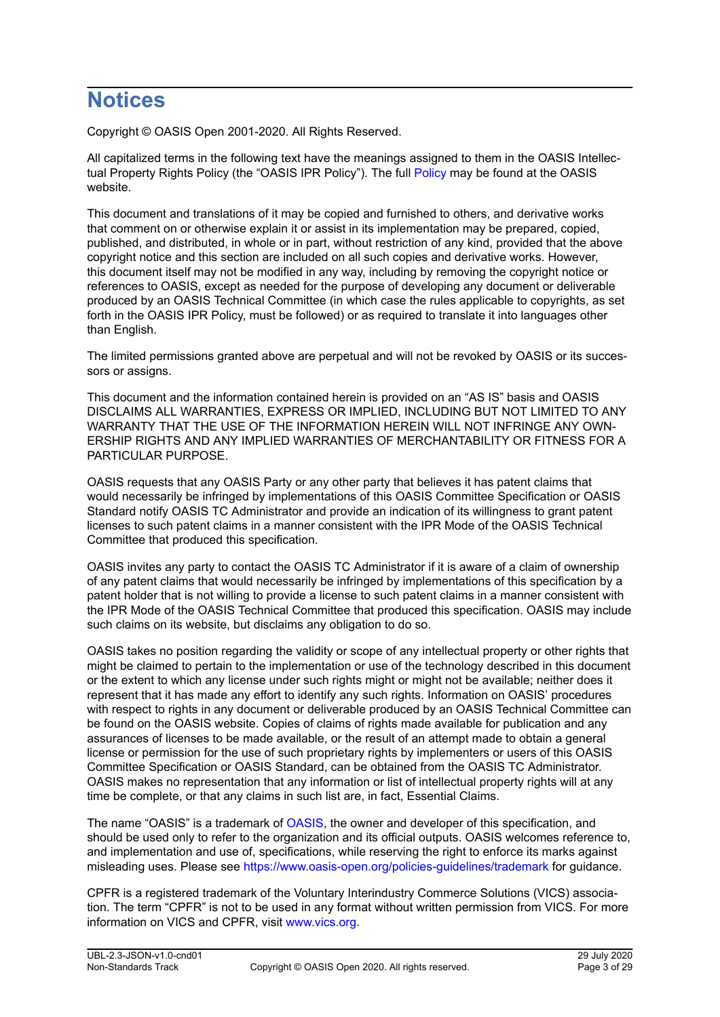## **Notices**

Copyright © OASIS Open 2001-2020. All Rights Reserved.

All capitalized terms in the following text have the meanings assigned to them in the OASIS Intellectual Property Rights Policy (the "OASIS IPR Policy"). The full [Policy](https://www.oasis-open.org/policies-guidelines/ipr) may be found at the OASIS website.

This document and translations of it may be copied and furnished to others, and derivative works that comment on or otherwise explain it or assist in its implementation may be prepared, copied, published, and distributed, in whole or in part, without restriction of any kind, provided that the above copyright notice and this section are included on all such copies and derivative works. However, this document itself may not be modified in any way, including by removing the copyright notice or references to OASIS, except as needed for the purpose of developing any document or deliverable produced by an OASIS Technical Committee (in which case the rules applicable to copyrights, as set forth in the OASIS IPR Policy, must be followed) or as required to translate it into languages other than English.

The limited permissions granted above are perpetual and will not be revoked by OASIS or its successors or assigns.

This document and the information contained herein is provided on an "AS IS" basis and OASIS DISCLAIMS ALL WARRANTIES, EXPRESS OR IMPLIED, INCLUDING BUT NOT LIMITED TO ANY WARRANTY THAT THE USE OF THE INFORMATION HEREIN WILL NOT INFRINGE ANY OWN-ERSHIP RIGHTS AND ANY IMPLIED WARRANTIES OF MERCHANTABILITY OR FITNESS FOR A PARTICULAR PURPOSE.

OASIS requests that any OASIS Party or any other party that believes it has patent claims that would necessarily be infringed by implementations of this OASIS Committee Specification or OASIS Standard notify OASIS TC Administrator and provide an indication of its willingness to grant patent licenses to such patent claims in a manner consistent with the IPR Mode of the OASIS Technical Committee that produced this specification.

OASIS invites any party to contact the OASIS TC Administrator if it is aware of a claim of ownership of any patent claims that would necessarily be infringed by implementations of this specification by a patent holder that is not willing to provide a license to such patent claims in a manner consistent with the IPR Mode of the OASIS Technical Committee that produced this specification. OASIS may include such claims on its website, but disclaims any obligation to do so.

OASIS takes no position regarding the validity or scope of any intellectual property or other rights that might be claimed to pertain to the implementation or use of the technology described in this document or the extent to which any license under such rights might or might not be available; neither does it represent that it has made any effort to identify any such rights. Information on OASIS' procedures with respect to rights in any document or deliverable produced by an OASIS Technical Committee can be found on the OASIS website. Copies of claims of rights made available for publication and any assurances of licenses to be made available, or the result of an attempt made to obtain a general license or permission for the use of such proprietary rights by implementers or users of this OASIS Committee Specification or OASIS Standard, can be obtained from the OASIS TC Administrator. OASIS makes no representation that any information or list of intellectual property rights will at any time be complete, or that any claims in such list are, in fact, Essential Claims.

The name "OASIS" is a trademark of [OASIS,](https://www.oasis-open.org) the owner and developer of this specification, and should be used only to refer to the organization and its official outputs. OASIS welcomes reference to, and implementation and use of, specifications, while reserving the right to enforce its marks against misleading uses. Please see <https://www.oasis-open.org/policies-guidelines/trademark>for guidance.

CPFR is a registered trademark of the Voluntary Interindustry Commerce Solutions (VICS) association. The term "CPFR" is not to be used in any format without written permission from VICS. For more information on VICS and CPFR, visit [www.vics.org.](http://www.vics.org)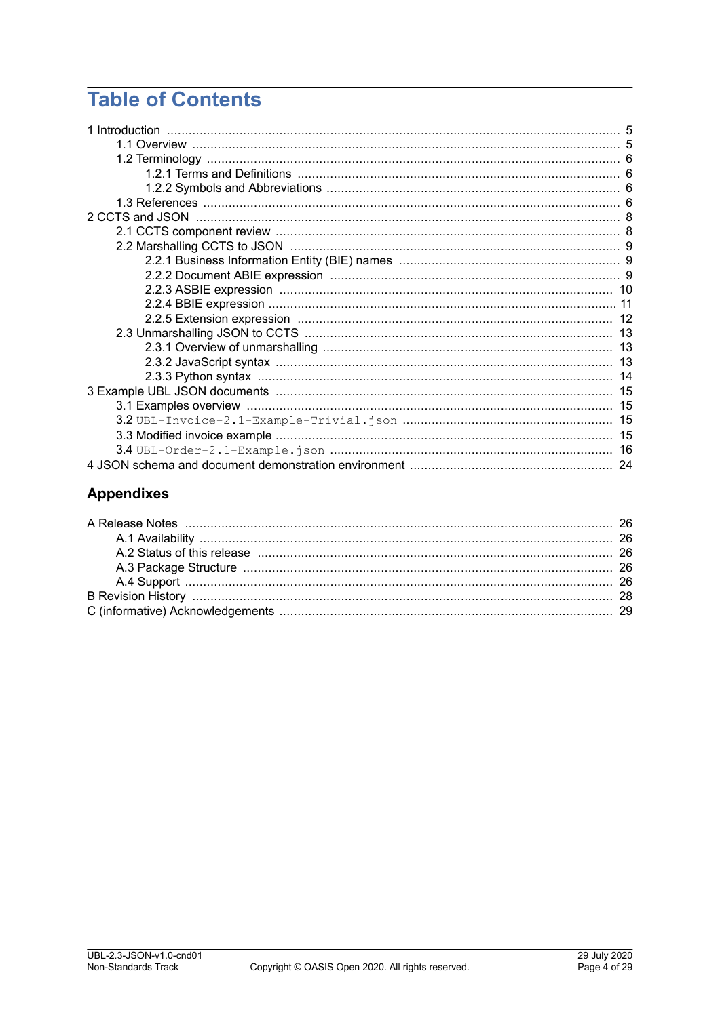## **Table of Contents**

| 1 Introduction |    |
|----------------|----|
|                |    |
|                |    |
|                |    |
|                |    |
|                |    |
|                |    |
|                |    |
|                |    |
|                |    |
|                |    |
|                |    |
|                |    |
|                |    |
|                |    |
|                |    |
|                | 13 |
|                |    |
|                |    |
|                |    |
|                |    |
|                |    |
|                |    |
|                |    |

## **Appendixes**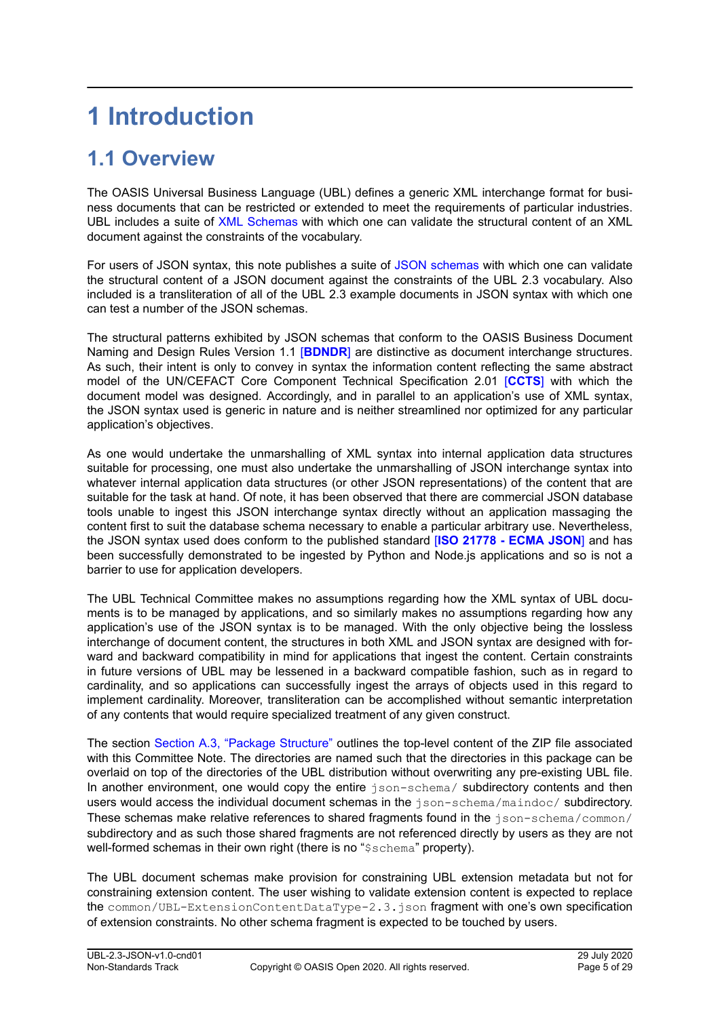# <span id="page-4-0"></span>**1 Introduction**

## **1.1 Overview**

The OASIS Universal Business Language (UBL) defines a generic XML interchange format for business documents that can be restricted or extended to meet the requirements of particular industries. UBL includes a suite of [XML Schemas](#page-5-0) with which one can validate the structural content of an XML document against the constraints of the vocabulary.

For users of JSON syntax, this note publishes a suite of [JSON schemas](#page-5-0) with which one can validate the structural content of a JSON document against the constraints of the UBL 2.3 vocabulary. Also included is a transliteration of all of the UBL 2.3 example documents in JSON syntax with which one can test a number of the JSON schemas.

The structural patterns exhibited by JSON schemas that conform to the OASIS Business Document Naming and Design Rules Version 1.1 [**[BDNDR](#page-5-0)**] are distinctive as document interchange structures. As such, their intent is only to convey in syntax the information content reflecting the same abstract model of the UN/CEFACT Core Component Technical Specification 2.01 [**[CCTS](#page-5-0)**] with which the document model was designed. Accordingly, and in parallel to an application's use of XML syntax, the JSON syntax used is generic in nature and is neither streamlined nor optimized for any particular application's objectives.

As one would undertake the unmarshalling of XML syntax into internal application data structures suitable for processing, one must also undertake the unmarshalling of JSON interchange syntax into whatever internal application data structures (or other JSON representations) of the content that are suitable for the task at hand. Of note, it has been observed that there are commercial JSON database tools unable to ingest this JSON interchange syntax directly without an application massaging the content first to suit the database schema necessary to enable a particular arbitrary use. Nevertheless, the JSON syntax used does conform to the published standard [**[ISO 21778 - ECMA JSON](#page-5-0)**] and has been successfully demonstrated to be ingested by Python and Node.js applications and so is not a barrier to use for application developers.

The UBL Technical Committee makes no assumptions regarding how the XML syntax of UBL documents is to be managed by applications, and so similarly makes no assumptions regarding how any application's use of the JSON syntax is to be managed. With the only objective being the lossless interchange of document content, the structures in both XML and JSON syntax are designed with forward and backward compatibility in mind for applications that ingest the content. Certain constraints in future versions of UBL may be lessened in a backward compatible fashion, such as in regard to cardinality, and so applications can successfully ingest the arrays of objects used in this regard to implement cardinality. Moreover, transliteration can be accomplished without semantic interpretation of any contents that would require specialized treatment of any given construct.

The section [Section A.3, "Package Structure"](#page-25-0) outlines the top-level content of the ZIP file associated with this Committee Note. The directories are named such that the directories in this package can be overlaid on top of the directories of the UBL distribution without overwriting any pre-existing UBL file. In another environment, one would copy the entire json-schema/ subdirectory contents and then users would access the individual document schemas in the json-schema/maindoc/ subdirectory. These schemas make relative references to shared fragments found in the json-schema/common/ subdirectory and as such those shared fragments are not referenced directly by users as they are not well-formed schemas in their own right (there is no "\$schema" property).

The UBL document schemas make provision for constraining UBL extension metadata but not for constraining extension content. The user wishing to validate extension content is expected to replace the common/UBL-ExtensionContentDataType-2.3.json fragment with one's own specification of extension constraints. No other schema fragment is expected to be touched by users.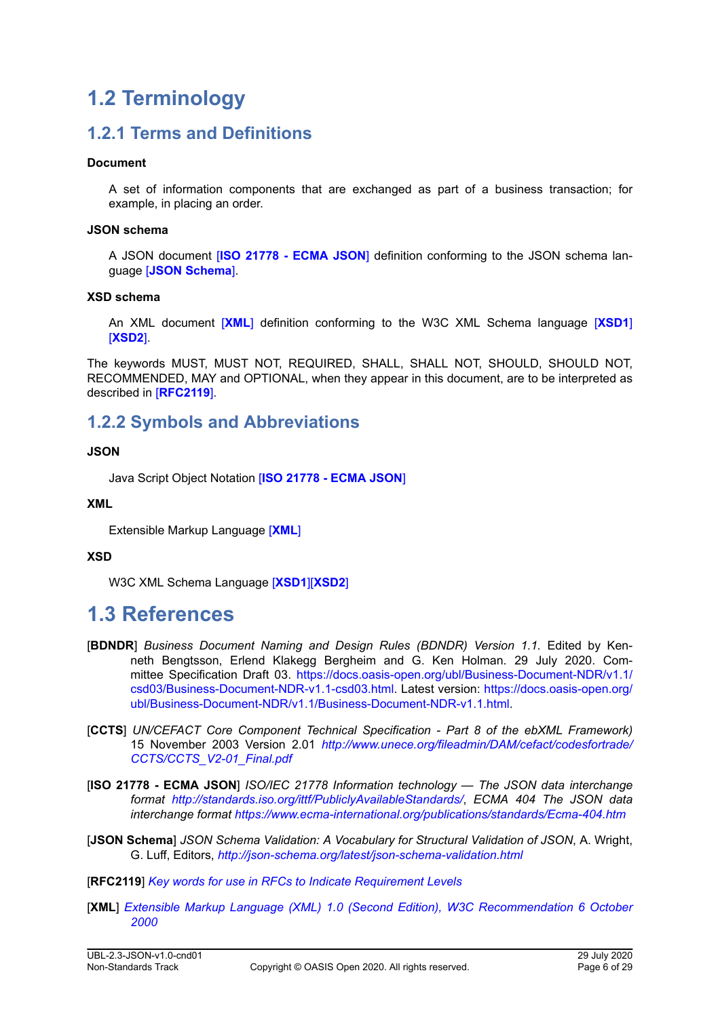## <span id="page-5-0"></span>**1.2 Terminology**

## **1.2.1 Terms and Definitions**

### **Document**

A set of information components that are exchanged as part of a business transaction; for example, in placing an order.

#### **JSON schema**

A JSON document [**ISO 21778 - ECMA JSON**] definition conforming to the JSON schema language [**JSON Schema**].

#### **XSD schema**

An XML document [**XML**] definition conforming to the W3C XML Schema language [**[XSD1](#page-6-0)**] [**[XSD2](#page-6-0)**].

The keywords MUST, MUST NOT, REQUIRED, SHALL, SHALL NOT, SHOULD, SHOULD NOT, RECOMMENDED, MAY and OPTIONAL, when they appear in this document, are to be interpreted as described in [**RFC2119**].

### **1.2.2 Symbols and Abbreviations**

### **JSON**

Java Script Object Notation [**ISO 21778 - ECMA JSON**]

### **XML**

Extensible Markup Language [**XML**]

### **XSD**

W3C XML Schema Language [**[XSD1](#page-6-0)**][**[XSD2](#page-6-0)**]

## **1.3 References**

- [**BDNDR**] *Business Document Naming and Design Rules (BDNDR) Version 1.1.* Edited by Kenneth Bengtsson, Erlend Klakegg Bergheim and G. Ken Holman. 29 July 2020. Committee Specification Draft 03. [https://docs.oasis-open.org/ubl/Business-Document-NDR/v1.1/](https://docs.oasis-open.org/ubl/Business-Document-NDR/v1.1/csd03/Business-Document-NDR-v1.1-csd03.html) [csd03/Business-Document-NDR-v1.1-csd03.html.](https://docs.oasis-open.org/ubl/Business-Document-NDR/v1.1/csd03/Business-Document-NDR-v1.1-csd03.html) Latest version: [https://docs.oasis-open.org/](https://docs.oasis-open.org/ubl/Business-Document-NDR/v1.1/Business-Document-NDR-v1.1.html) [ubl/Business-Document-NDR/v1.1/Business-Document-NDR-v1.1.html](https://docs.oasis-open.org/ubl/Business-Document-NDR/v1.1/Business-Document-NDR-v1.1.html).
- [**CCTS**] *UN/CEFACT Core Component Technical Specification Part 8 of the ebXML Framework)*  15 November 2003 Version 2.01 *[http://www.unece.org/fileadmin/DAM/cefact/codesfortrade/](http://www.unece.org/fileadmin/DAM/cefact/codesfortrade/CCTS/CCTS_V2-01_Final.pdf) [CCTS/CCTS\\_V2-01\\_Final.pdf](http://www.unece.org/fileadmin/DAM/cefact/codesfortrade/CCTS/CCTS_V2-01_Final.pdf)*
- [**ISO 21778 ECMA JSON**] *ISO/IEC 21778 Information technology The JSON data interchange format <http://standards.iso.org/ittf/PubliclyAvailableStandards/>*, *ECMA 404 The JSON data interchange format <https://www.ecma-international.org/publications/standards/Ecma-404.htm>*
- [**JSON Schema**] *JSON Schema Validation: A Vocabulary for Structural Validation of JSON*, A. Wright, G. Luff, Editors, *<http://json-schema.org/latest/json-schema-validation.html>*

[**RFC2119**] *[Key words for use in RFCs to Indicate Requirement Levels](http://www.faqs.org/rfcs/rfc2119.html)* 

[**XML**] *[Extensible Markup Language \(XML\) 1.0 \(Second Edition\), W3C Recommendation 6 October](http://www.w3.org/TR/2000/REC-xml-20001006) [2000](http://www.w3.org/TR/2000/REC-xml-20001006)*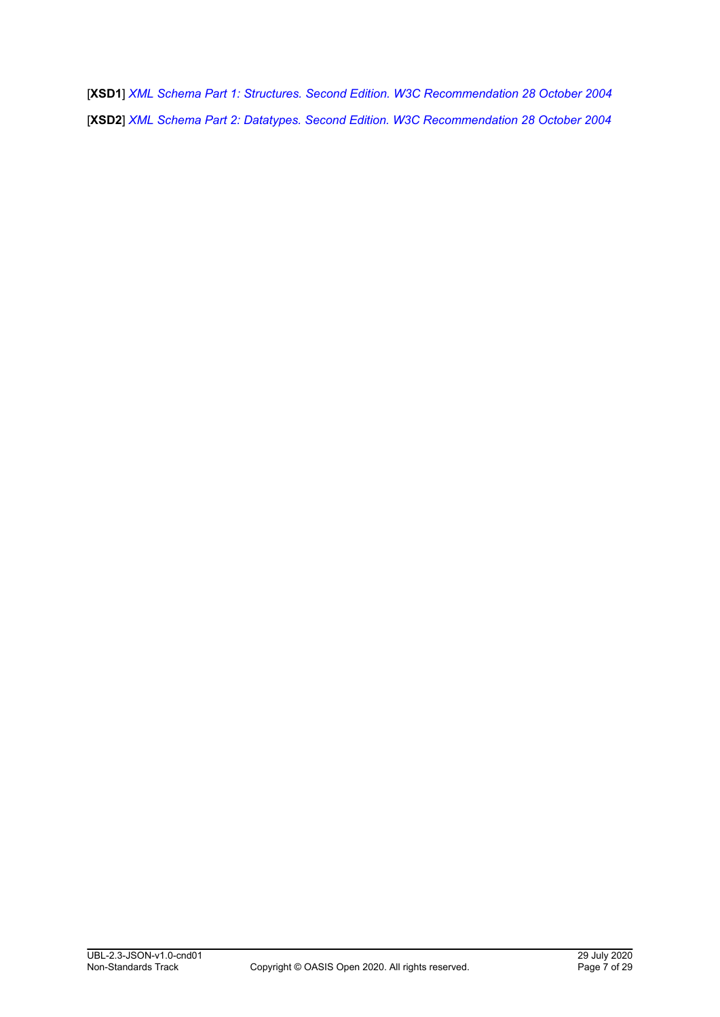<span id="page-6-0"></span>[**XSD1**] *[XML Schema Part 1: Structures. Second Edition. W3C Recommendation 28 October 2004](http://www.w3.org/TR/2004/REC-xmlschema-1-20041028/)* [**XSD2**] *[XML Schema Part 2: Datatypes. Second Edition. W3C Recommendation 28 October 2004](http://www.w3.org/TR/2004/REC-xmlschema-2-20041028/)*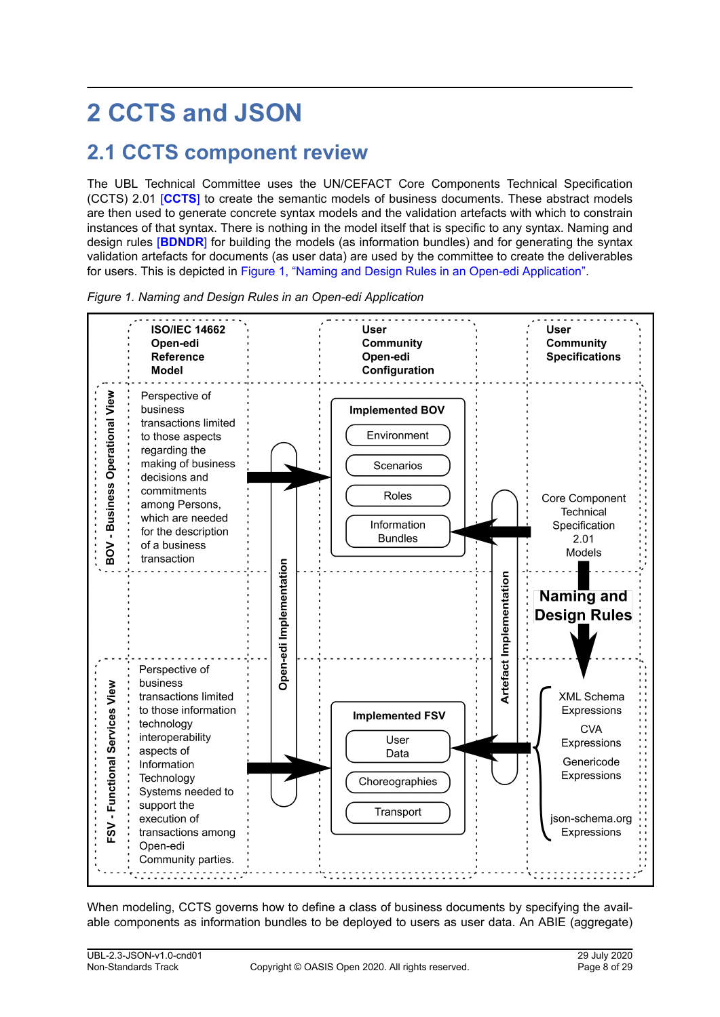# <span id="page-7-0"></span>**2 CCTS and JSON**

## **2.1 CCTS component review**

The UBL Technical Committee uses the UN/CEFACT Core Components Technical Specification (CCTS) 2.01 [**[CCTS](#page-5-0)**] to create the semantic models of business documents. These abstract models are then used to generate concrete syntax models and the validation artefacts with which to constrain instances of that syntax. There is nothing in the model itself that is specific to any syntax. Naming and design rules [**[BDNDR](#page-5-0)**] for building the models (as information bundles) and for generating the syntax validation artefacts for documents (as user data) are used by the committee to create the deliverables for users. This is depicted in Figure 1, "Naming and Design Rules in an Open-edi Application".



*Figure 1. Naming and Design Rules in an Open-edi Application*

When modeling, CCTS governs how to define a class of business documents by specifying the available components as information bundles to be deployed to users as user data. An ABIE (aggregate)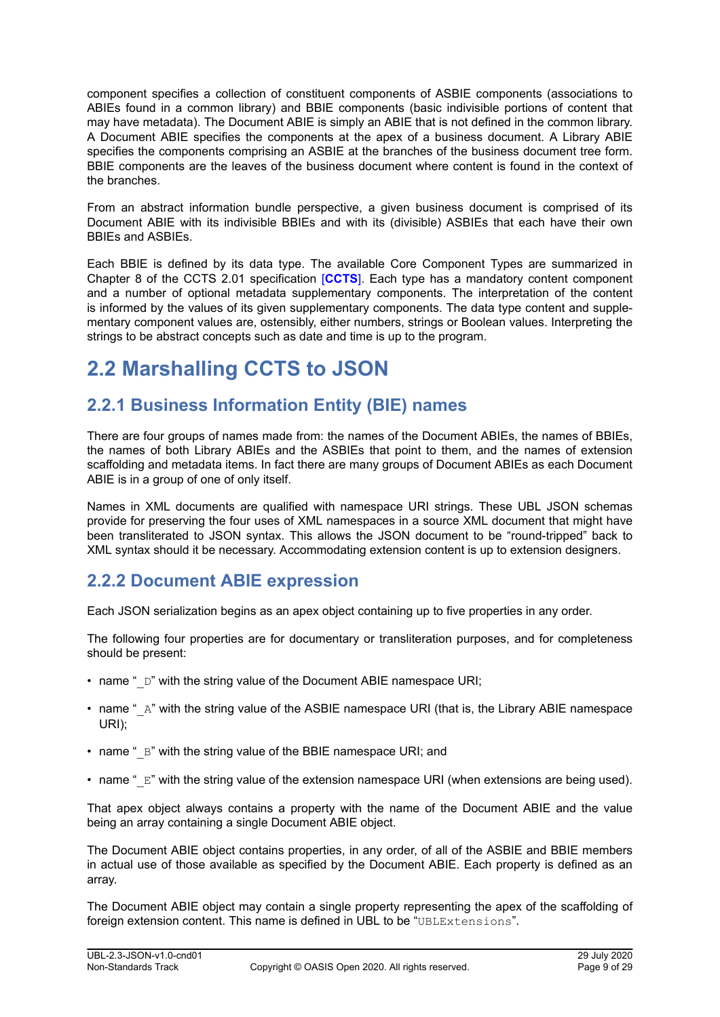<span id="page-8-0"></span>component specifies a collection of constituent components of ASBIE components (associations to ABIEs found in a common library) and BBIE components (basic indivisible portions of content that may have metadata). The Document ABIE is simply an ABIE that is not defined in the common library. A Document ABIE specifies the components at the apex of a business document. A Library ABIE specifies the components comprising an ASBIE at the branches of the business document tree form. BBIE components are the leaves of the business document where content is found in the context of the branches.

From an abstract information bundle perspective, a given business document is comprised of its Document ABIE with its indivisible BBIEs and with its (divisible) ASBIEs that each have their own BBIEs and ASBIEs.

Each BBIE is defined by its data type. The available Core Component Types are summarized in Chapter 8 of the CCTS 2.01 specification [**[CCTS](#page-5-0)**]. Each type has a mandatory content component and a number of optional metadata supplementary components. The interpretation of the content is informed by the values of its given supplementary components. The data type content and supplementary component values are, ostensibly, either numbers, strings or Boolean values. Interpreting the strings to be abstract concepts such as date and time is up to the program.

## **2.2 Marshalling CCTS to JSON**

## **2.2.1 Business Information Entity (BIE) names**

There are four groups of names made from: the names of the Document ABIEs, the names of BBIEs, the names of both Library ABIEs and the ASBIEs that point to them, and the names of extension scaffolding and metadata items. In fact there are many groups of Document ABIEs as each Document ABIE is in a group of one of only itself.

Names in XML documents are qualified with namespace URI strings. These UBL JSON schemas provide for preserving the four uses of XML namespaces in a source XML document that might have been transliterated to JSON syntax. This allows the JSON document to be "round-tripped" back to XML syntax should it be necessary. Accommodating extension content is up to extension designers.

## **2.2.2 Document ABIE expression**

Each JSON serialization begins as an apex object containing up to five properties in any order.

The following four properties are for documentary or transliteration purposes, and for completeness should be present:

- name " D" with the string value of the Document ABIE namespace URI;
- name " A" with the string value of the ASBIE namespace URI (that is, the Library ABIE namespace URI);
- name "  $B$ " with the string value of the BBIE namespace URI; and
- name "  $E''$  with the string value of the extension namespace URI (when extensions are being used).

That apex object always contains a property with the name of the Document ABIE and the value being an array containing a single Document ABIE object.

The Document ABIE object contains properties, in any order, of all of the ASBIE and BBIE members in actual use of those available as specified by the Document ABIE. Each property is defined as an array.

The Document ABIE object may contain a single property representing the apex of the scaffolding of foreign extension content. This name is defined in UBL to be "UBLExtensions".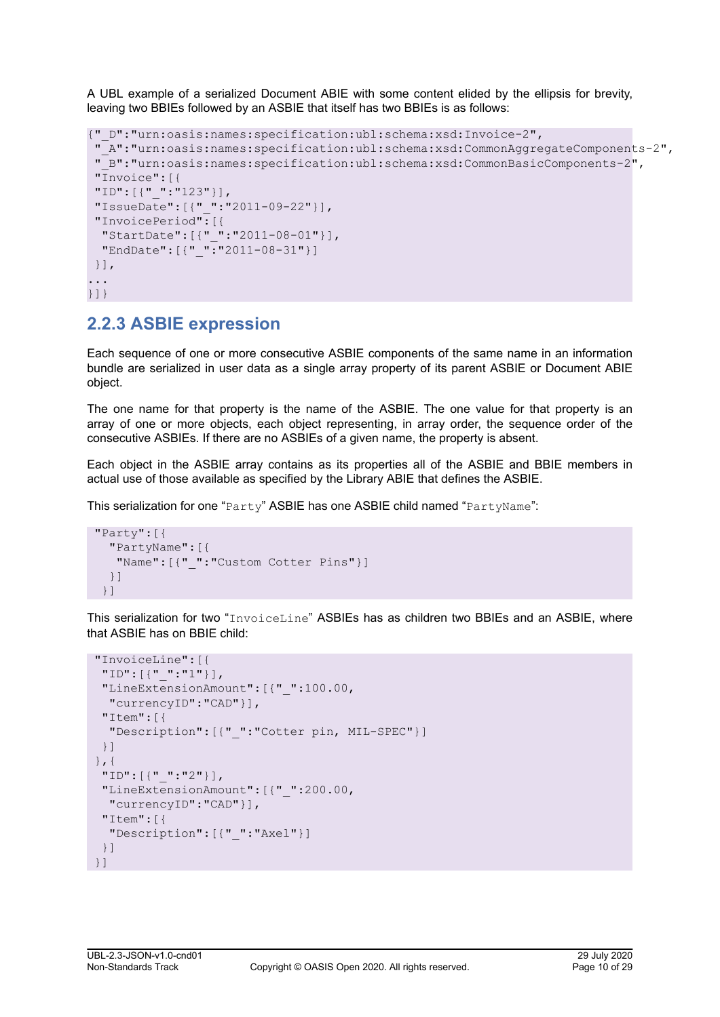<span id="page-9-0"></span>A UBL example of a serialized Document ABIE with some content elided by the ellipsis for brevity, leaving two BBIEs followed by an ASBIE that itself has two BBIEs is as follows:

```
{"_D":"urn:oasis:names:specification:ubl:schema:xsd:Invoice-2",
  "_A":"urn:oasis:names:specification:ubl:schema:xsd:CommonAggregateComponents-2",
  "_B":"urn:oasis:names:specification:ubl:schema:xsd:CommonBasicComponents-2",
  "Invoice":[{
  "ID":[{"_":"123"}],
  "IssueDate":[{"_":"2011-09-22"}],
  "InvoicePeriod":[{
  "StartDate":[{"_":"2011-08-01"}],
   "EndDate":[{"_":"2011-08-31"}]
  }],
...
}]}
```
## **2.2.3 ASBIE expression**

Each sequence of one or more consecutive ASBIE components of the same name in an information bundle are serialized in user data as a single array property of its parent ASBIE or Document ABIE object.

The one name for that property is the name of the ASBIE. The one value for that property is an array of one or more objects, each object representing, in array order, the sequence order of the consecutive ASBIEs. If there are no ASBIEs of a given name, the property is absent.

Each object in the ASBIE array contains as its properties all of the ASBIE and BBIE members in actual use of those available as specified by the Library ABIE that defines the ASBIE.

This serialization for one "Party" ASBIE has one ASBIE child named "PartyName":

```
 "Party":[{
   "PartyName":[{
    "Name":[{"_":"Custom Cotter Pins"}]
   }]
 }]
```
This serialization for two "InvoiceLine" ASBIEs has as children two BBIEs and an ASBIE, where that ASBIE has on BBIE child:

```
 "InvoiceLine":[{
  "ID":[{"_":"1"}],
  "LineExtensionAmount":[{"_":100.00,
   "currencyID":"CAD"}],
  "Item":[{
   "Description":[{"_":"Cotter pin, MIL-SPEC"}]
  }]
 },{
  "ID":[{"_":"2"}],
  "LineExtensionAmount":[{"_":200.00,
   "currencyID":"CAD"}],
  "Item":[{
   "Description":[{"_":"Axel"}]
  }]
 }]
```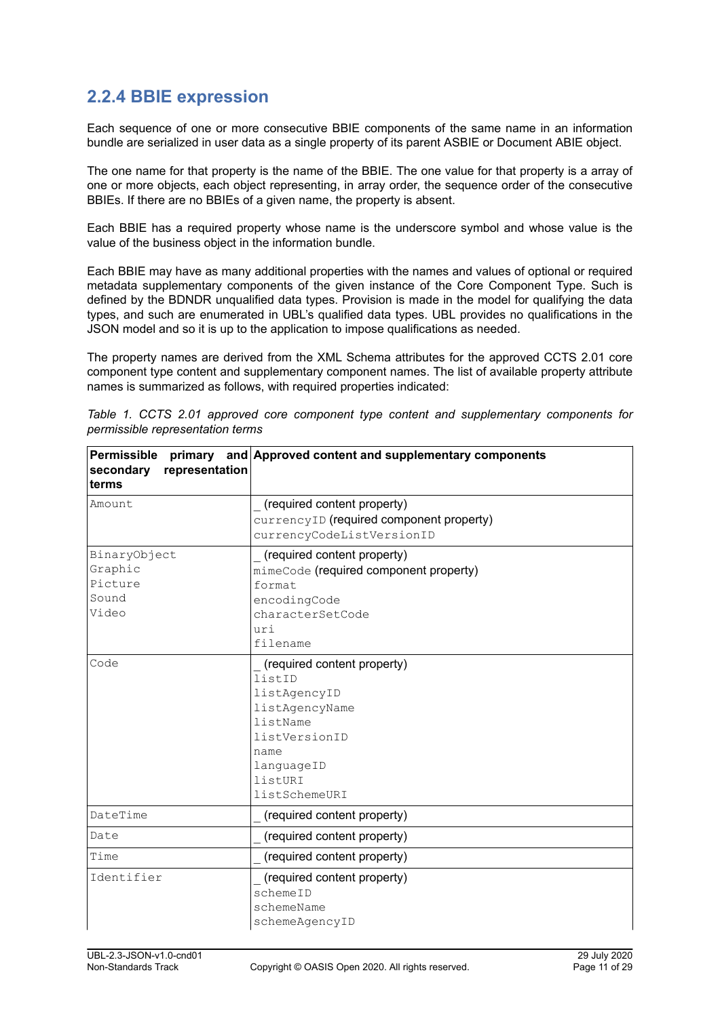## <span id="page-10-0"></span>**2.2.4 BBIE expression**

Each sequence of one or more consecutive BBIE components of the same name in an information bundle are serialized in user data as a single property of its parent ASBIE or Document ABIE object.

The one name for that property is the name of the BBIE. The one value for that property is a array of one or more objects, each object representing, in array order, the sequence order of the consecutive BBIEs. If there are no BBIEs of a given name, the property is absent.

Each BBIE has a required property whose name is the underscore symbol and whose value is the value of the business object in the information bundle.

Each BBIE may have as many additional properties with the names and values of optional or required metadata supplementary components of the given instance of the Core Component Type. Such is defined by the BDNDR unqualified data types. Provision is made in the model for qualifying the data types, and such are enumerated in UBL's qualified data types. UBL provides no qualifications in the JSON model and so it is up to the application to impose qualifications as needed.

The property names are derived from the XML Schema attributes for the approved CCTS 2.01 core component type content and supplementary component names. The list of available property attribute names is summarized as follows, with required properties indicated:

| Permissible<br>representation<br>secondary<br>terms  | primary and Approved content and supplementary components                                                                                              |
|------------------------------------------------------|--------------------------------------------------------------------------------------------------------------------------------------------------------|
| Amount                                               | (required content property)<br>currencyID (required component property)<br>currencyCodeListVersionID                                                   |
| BinaryObject<br>Graphic<br>Picture<br>Sound<br>Video | (required content property)<br>mimeCode (required component property)<br>format<br>encodingCode<br>characterSetCode<br>uri<br>filename                 |
| Code                                                 | (required content property)<br>listID<br>listAgencyID<br>listAgencyName<br>listName<br>listVersionID<br>name<br>languageID<br>listURI<br>listSchemeURI |
| DateTime                                             | (required content property)                                                                                                                            |
| Date                                                 | (required content property)                                                                                                                            |
| Time                                                 | (required content property)                                                                                                                            |
| Identifier                                           | (required content property)<br>schemeID<br>schemeName<br>schemeAgencyID                                                                                |

*Table 1. CCTS 2.01 approved core component type content and supplementary components for permissible representation terms*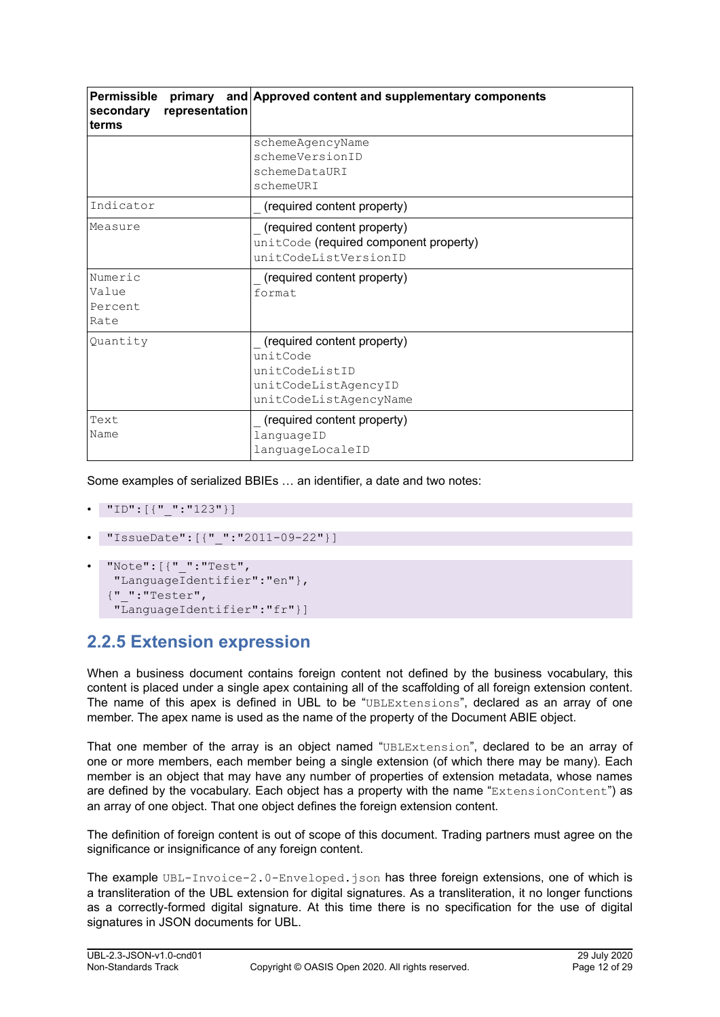<span id="page-11-0"></span>

| Permissible<br>primary<br>representation<br>secondary<br>terms | and Approved content and supplementary components                                                           |
|----------------------------------------------------------------|-------------------------------------------------------------------------------------------------------------|
|                                                                | schemeAgencyName<br>schemeVersionID<br>schemeDataURI<br>schemeURI                                           |
| Indicator                                                      | (required content property)                                                                                 |
| lMeasure                                                       | (required content property)<br>unitCode (required component property)<br>unitCodeListVersionID              |
| Numeric<br>Value<br>Percent<br>Rate                            | (required content property)<br>format                                                                       |
| Quantity                                                       | (required content property)<br>unitCode<br>unitCodeListID<br>unitCodeListAgencyID<br>unitCodeListAgencyName |
| Text<br>Name                                                   | (required content property)<br>languageID<br>languageLocaleID                                               |

Some examples of serialized BBIEs … an identifier, a date and two notes:

```
• "ID":[{"_":"123"}]
```
- "IssueDate":[{"\_":"2011-09-22"}]
- "Note":[{"\_":"Test", "LanguageIdentifier":"en"}, {"\_":"Tester", "LanguageIdentifier":"fr"}]

## **2.2.5 Extension expression**

When a business document contains foreign content not defined by the business vocabulary, this content is placed under a single apex containing all of the scaffolding of all foreign extension content. The name of this apex is defined in UBL to be "UBLExtensions", declared as an array of one member. The apex name is used as the name of the property of the Document ABIE object.

That one member of the array is an object named "UBLExtension", declared to be an array of one or more members, each member being a single extension (of which there may be many). Each member is an object that may have any number of properties of extension metadata, whose names are defined by the vocabulary. Each object has a property with the name "ExtensionContent") as an array of one object. That one object defines the foreign extension content.

The definition of foreign content is out of scope of this document. Trading partners must agree on the significance or insignificance of any foreign content.

The example UBL-Invoice-2.0-Enveloped.json has three foreign extensions, one of which is a transliteration of the UBL extension for digital signatures. As a transliteration, it no longer functions as a correctly-formed digital signature. At this time there is no specification for the use of digital signatures in JSON documents for UBL.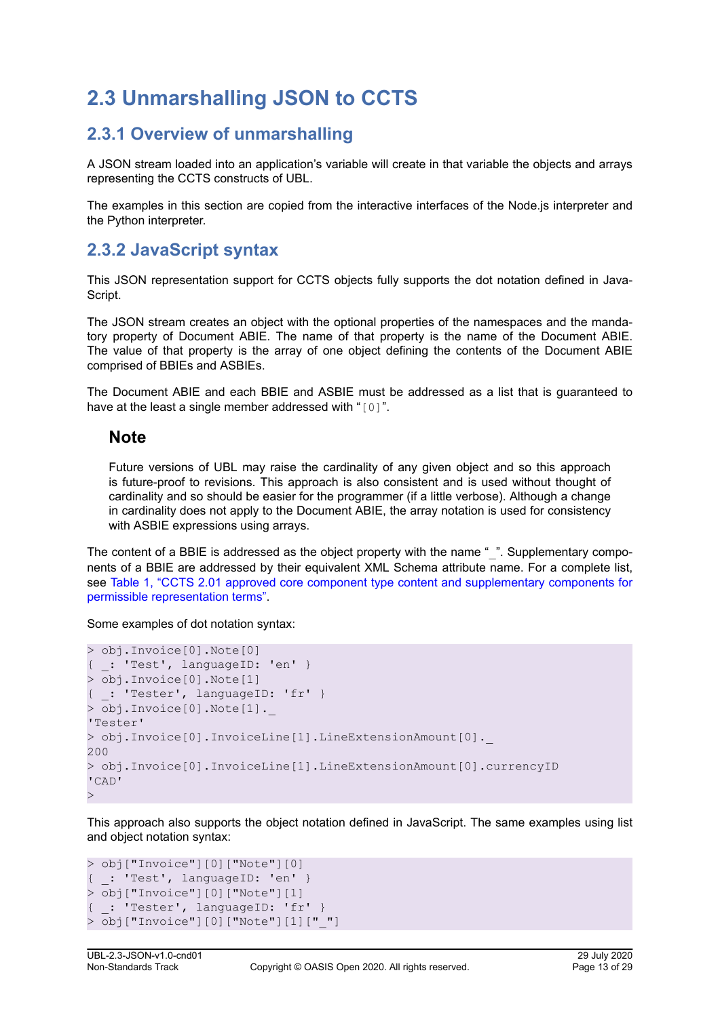## <span id="page-12-0"></span>**2.3 Unmarshalling JSON to CCTS**

## **2.3.1 Overview of unmarshalling**

A JSON stream loaded into an application's variable will create in that variable the objects and arrays representing the CCTS constructs of UBL.

The examples in this section are copied from the interactive interfaces of the Node.js interpreter and the Python interpreter.

### **2.3.2 JavaScript syntax**

This JSON representation support for CCTS objects fully supports the dot notation defined in Java-Script.

The JSON stream creates an object with the optional properties of the namespaces and the mandatory property of Document ABIE. The name of that property is the name of the Document ABIE. The value of that property is the array of one object defining the contents of the Document ABIE comprised of BBIEs and ASBIEs.

The Document ABIE and each BBIE and ASBIE must be addressed as a list that is guaranteed to have at the least a single member addressed with "[0]".

### **Note**

Future versions of UBL may raise the cardinality of any given object and so this approach is future-proof to revisions. This approach is also consistent and is used without thought of cardinality and so should be easier for the programmer (if a little verbose). Although a change in cardinality does not apply to the Document ABIE, the array notation is used for consistency with ASBIE expressions using arrays.

The content of a BBIE is addressed as the object property with the name " ". Supplementary components of a BBIE are addressed by their equivalent XML Schema attribute name. For a complete list, see [Table 1, "CCTS 2.01 approved core component type content and supplementary components for](#page-10-0) [permissible representation terms"](#page-10-0).

Some examples of dot notation syntax:

```
> obj.Invoice[0].Note[0]
{ _: 'Test', languageID: 'en' }
> obj.Invoice[0].Note[1]
{ _: 'Tester', languageID: 'fr' }
> obj.Invoice[0].Note[1]._
'Tester'
> obj.Invoice[0].InvoiceLine[1].LineExtensionAmount[0]._
200
> obj.Invoice[0].InvoiceLine[1].LineExtensionAmount[0].currencyID
'CAD'
>
```
This approach also supports the object notation defined in JavaScript. The same examples using list and object notation syntax:

```
> obj["Invoice"][0]["Note"][0]
{ _: 'Test', languageID: 'en' }
> obj["Invoice"][0]["Note"][1]
{ _: 'Tester', languageID: 'fr' }
> obj["Invoice"][0]["Note"][1]["_"]
```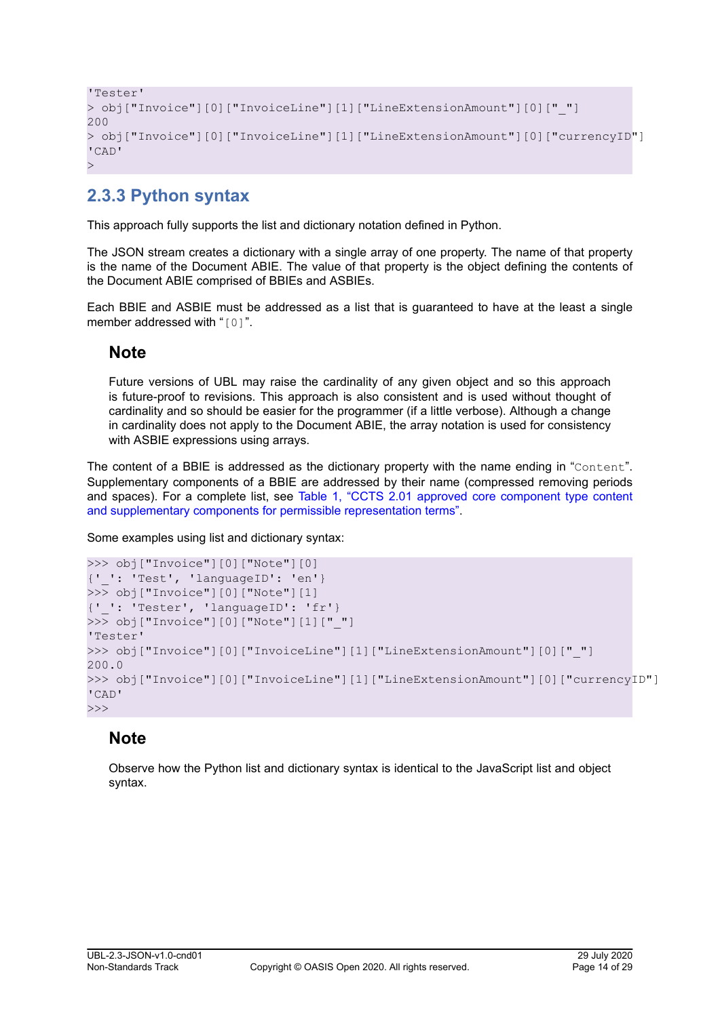```
'Tester'
> obj["Invoice"][0]["InvoiceLine"][1]["LineExtensionAmount"][0]["_"]
200
> obj["Invoice"][0]["InvoiceLine"][1]["LineExtensionAmount"][0]["currencyID"]
'CAD'
>
```
## **2.3.3 Python syntax**

This approach fully supports the list and dictionary notation defined in Python.

The JSON stream creates a dictionary with a single array of one property. The name of that property is the name of the Document ABIE. The value of that property is the object defining the contents of the Document ABIE comprised of BBIEs and ASBIEs.

Each BBIE and ASBIE must be addressed as a list that is guaranteed to have at the least a single member addressed with "[0]".

### **Note**

Future versions of UBL may raise the cardinality of any given object and so this approach is future-proof to revisions. This approach is also consistent and is used without thought of cardinality and so should be easier for the programmer (if a little verbose). Although a change in cardinality does not apply to the Document ABIE, the array notation is used for consistency with ASBIE expressions using arrays.

The content of a BBIE is addressed as the dictionary property with the name ending in "Content". Supplementary components of a BBIE are addressed by their name (compressed removing periods and spaces). For a complete list, see [Table 1, "CCTS 2.01 approved core component type content](#page-10-0) [and supplementary components for permissible representation terms".](#page-10-0)

Some examples using list and dictionary syntax:

```
>>> obj["Invoice"][0]["Note"][0]
{'_': 'Test', 'languageID': 'en'}
>>> obj["Invoice"][0]["Note"][1]
{'_': 'Tester', 'languageID': 'fr'}
>>> obj["Invoice"][0]["Note"][1]["_"]
'Tester'
>>> obj["Invoice"][0]["InvoiceLine"][1]["LineExtensionAmount"][0]["_"]
200.0
>>> obj["Invoice"][0]["InvoiceLine"][1]["LineExtensionAmount"][0]["currencyID"]
'CAD'
>>>
```
### **Note**

Observe how the Python list and dictionary syntax is identical to the JavaScript list and object syntax.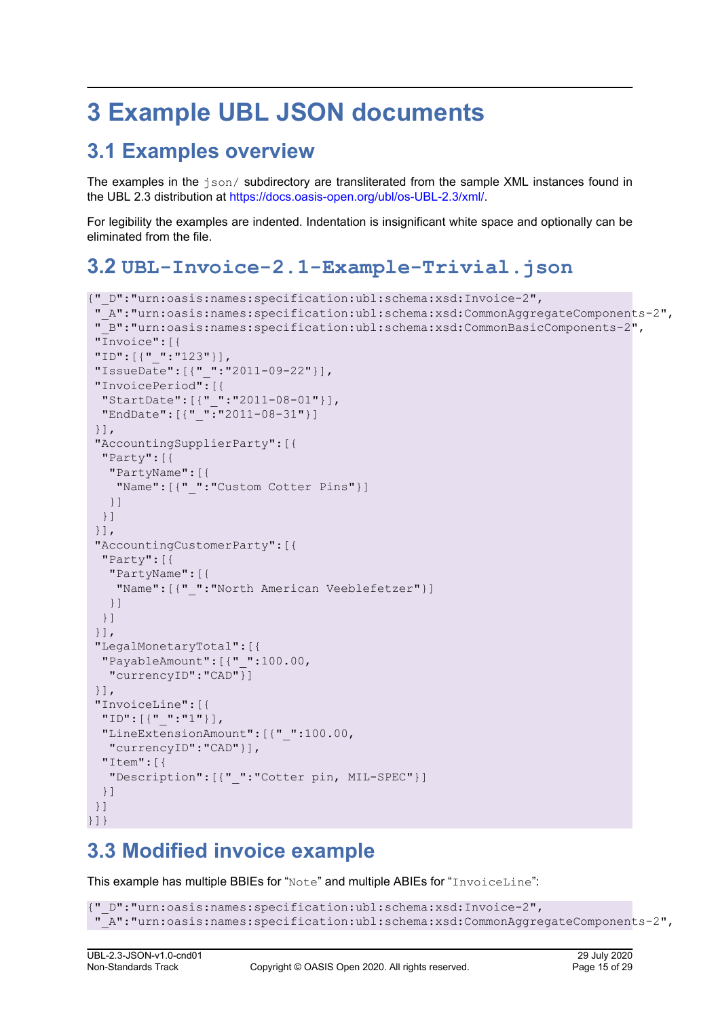# <span id="page-14-0"></span>**3 Example UBL JSON documents**

## **3.1 Examples overview**

The examples in the  $\frac{1}{150}$  subdirectory are transliterated from the sample XML instances found in the UBL 2.3 distribution at [https://docs.oasis-open.org/ubl/os-UBL-2.3/xml/.](https://docs.oasis-open.org/ubl/os-UBL-2.3/xml/)

For legibility the examples are indented. Indentation is insignificant white space and optionally can be eliminated from the file.

## **3.2 UBL-Invoice-2.1-Example-Trivial.json**

```
{"_D":"urn:oasis:names:specification:ubl:schema:xsd:Invoice-2",
  "_A":"urn:oasis:names:specification:ubl:schema:xsd:CommonAggregateComponents-2",
  "_B":"urn:oasis:names:specification:ubl:schema:xsd:CommonBasicComponents-2",
  "Invoice":[{
  "ID":[{"_":"123"}],
  "IssueDate":[{"_":"2011-09-22"}],
  "InvoicePeriod":[{
   "StartDate":[{"_":"2011-08-01"}],
   "EndDate":[{"_":"2011-08-31"}]
  }],
  "AccountingSupplierParty":[{
  "Party":[{
   "PartyName":[{
     "Name":[{"_":"Custom Cotter Pins"}]
   }]
  }]
  }],
  "AccountingCustomerParty":[{
   "Party":[{
    "PartyName":[{
    "Name": [{" ": "North American Veeblefetzer"}]
    }]
  }]
  }],
  "LegalMonetaryTotal":[{
  "PayableAmount":[{"_":100.00,
   "currencyID":"CAD"}]
  }],
  "InvoiceLine":[{
  "ID":[{"_":"1"}],
  "LineExtensionAmount":[{"_":100.00,
   "currencyID":"CAD"}],
  "Item":[{
    "Description":[{"_":"Cotter pin, MIL-SPEC"}]
   }]
  }]
}]}
```
## **3.3 Modified invoice example**

This example has multiple BBIEs for "Note" and multiple ABIEs for "InvoiceLine":

```
{"_D":"urn:oasis:names:specification:ubl:schema:xsd:Invoice-2",
 "_A":"urn:oasis:names:specification:ubl:schema:xsd:CommonAggregateComponents-2",
```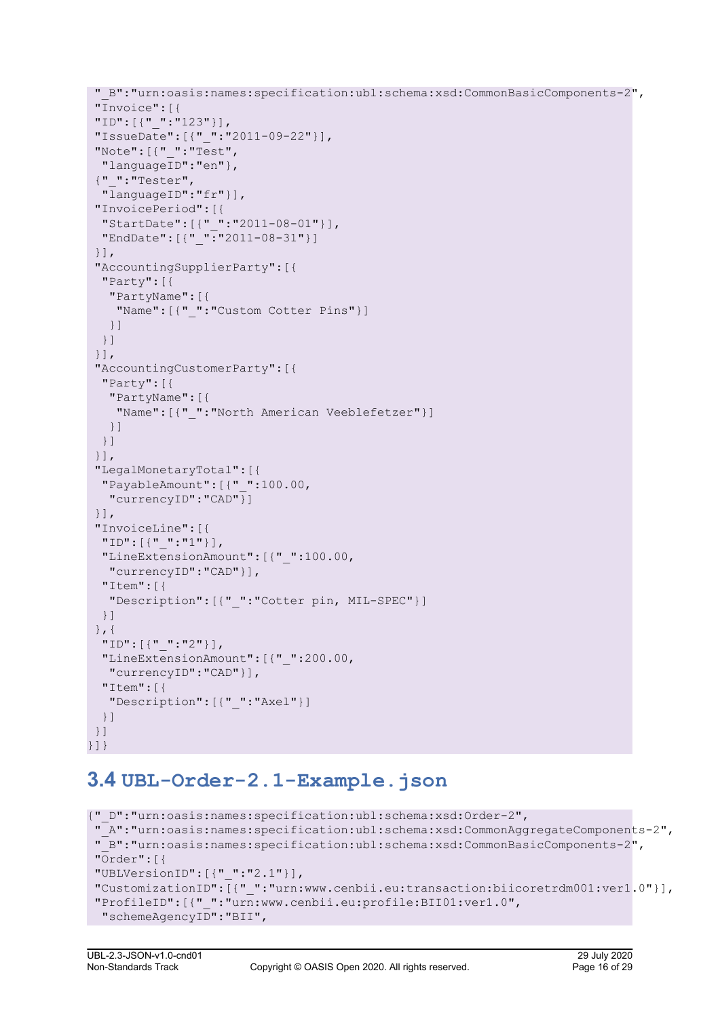```
 "_B":"urn:oasis:names:specification:ubl:schema:xsd:CommonBasicComponents-2",
  "Invoice":[{
  "ID":[{"_":"123"}],
  "IssueDate":[{"_":"2011-09-22"}],
  "Note":[{"_":"Test",
  "languageID":"en"},
  {"_":"Tester",
  "languageID":"fr"}],
  "InvoicePeriod":[{
   "StartDate":[{"_":"2011-08-01"}],
   "EndDate":[{"_":"2011-08-31"}]
  }],
  "AccountingSupplierParty":[{
  "Party":[{
    "PartyName":[{
    "Name":[{"_":"Custom Cotter Pins"}]
   }]
  }]
  }],
  "AccountingCustomerParty":[{
  "Party":[{
    "PartyName":[{
     "Name":[{"_":"North American Veeblefetzer"}]
    }]
  }]
  }],
  "LegalMonetaryTotal":[{
  "PayableAmount":[{"_":100.00,
   "currencyID":"CAD"}]
  }],
  "InvoiceLine":[{
  "ID":[{"_":"1"}],
   "LineExtensionAmount":[{"_":100.00,
   "currencyID":"CAD"}],
   "Item":[{
    "Description":[{"_":"Cotter pin, MIL-SPEC"}]
  }]
  },{
  "ID":[{"_":"2"}],
   "LineExtensionAmount":[{"_":200.00,
   "currencyID":"CAD"}],
   "Item":[{
    "Description":[{"_":"Axel"}]
  }]
 }]
}]}
```
## **3.4 UBL-Order-2.1-Example.json**

```
{"_D":"urn:oasis:names:specification:ubl:schema:xsd:Order-2",
 "_A":"urn:oasis:names:specification:ubl:schema:xsd:CommonAggregateComponents-2",
 "_B":"urn:oasis:names:specification:ubl:schema:xsd:CommonBasicComponents-2",
 "Order":[{
 "UBLVersionID":[{"_":"2.1"}],
 "CustomizationID":[{"_":"urn:www.cenbii.eu:transaction:biicoretrdm001:ver1.0"}],
 "ProfileID":[{"_":"urn:www.cenbii.eu:profile:BII01:ver1.0",
  "schemeAgencyID":"BII",
```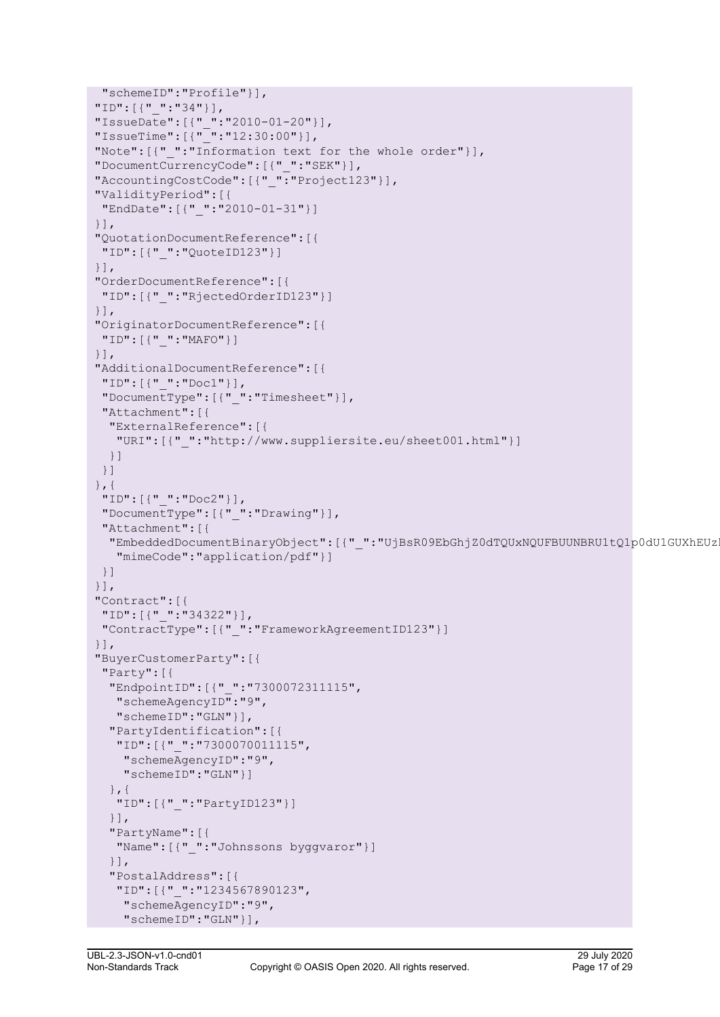```
 "schemeID":"Profile"}],
 "ID":[{"_":"34"}],
 "IssueDate":[{"_":"2010-01-20"}],
 "IssueTime":[{"_":"12:30:00"}],
"Note": [{" ":"Information text for the whole order"}],
 "DocumentCurrencyCode":[{"_":"SEK"}],
"AccountingCostCode": [{" ": "Project123"}],
 "ValidityPeriod":[{
 "EndDate":[{"_":"2010-01-31"}]
 }],
 "QuotationDocumentReference":[{
 "ID":[{"_":"QuoteID123"}]
 }],
 "OrderDocumentReference":[{
 "ID":[{"_":"RjectedOrderID123"}]
 }],
 "OriginatorDocumentReference":[{
 "ID":[{"_":"MAFO"}]
 }],
 "AdditionalDocumentReference":[{
 "ID":[{"_":"Doc1"}],
 "DocumentType":[{"_":"Timesheet"}],
 "Attachment":[{
   "ExternalReference":[{
    "URI":[{"_":"http://www.suppliersite.eu/sheet001.html"}]
  }]
 }]
 },{
  "ID":[{"_":"Doc2"}],
 "DocumentType":[{"_":"Drawing"}],
  "Attachment":[{
  "EmbeddedDocumentBinaryObject":[{" ":"UjBsR09EbGhjZ0dTQUxNQUFBUUNBRU1tQ1p0dU1GUXhEUz
    "mimeCode":"application/pdf"}]
 }]
 }],
 "Contract":[{
 "ID":[{"_":"34322"}],
  "ContractType":[{"_":"FrameworkAgreementID123"}]
 }],
 "BuyerCustomerParty":[{
 "Party":[{
   "EndpointID":[{"_":"7300072311115",
   "schemeAgencyID":"9",
   "schemeID":"GLN"}],
   "PartyIdentification":[{
    "ID":[{"_":"7300070011115",
     "schemeAgencyID":"9",
     "schemeID":"GLN"}]
   },{
    "ID":[{"_":"PartyID123"}]
   }],
   "PartyName":[{
   "Name":[{"_":"Johnssons byggvaror"}]
   }],
   "PostalAddress":[{
    "ID":[{"_":"1234567890123",
     "schemeAgencyID":"9",
     "schemeID":"GLN"}],
```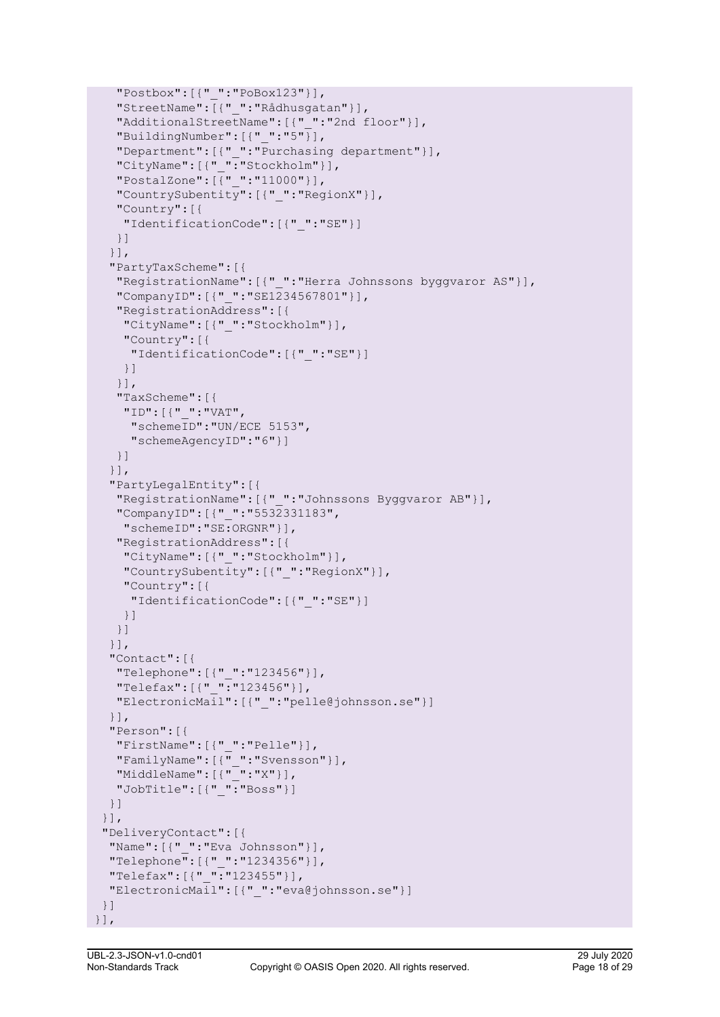```
 "Postbox":[{"_":"PoBox123"}],
    "StreetName":[{"_":"Rådhusgatan"}],
    "AdditionalStreetName":[{"_":"2nd floor"}],
    "BuildingNumber":[{"_":"5"}],
    "Department":[{"_":"Purchasing department"}],
   "CityName": [{" ":"Stockholm"}],
    "PostalZone":[{"_":"11000"}],
    "CountrySubentity":[{"_":"RegionX"}],
    "Country":[{
     "IdentificationCode":[{"_":"SE"}]
    }]
   }],
   "PartyTaxScheme":[{
    "RegistrationName":[{"_":"Herra Johnssons byggvaror AS"}],
    "CompanyID":[{"_":"SE1234567801"}],
    "RegistrationAddress":[{
     "CityName":[{"_":"Stockholm"}],
     "Country":[{
      "IdentificationCode":[{"_":"SE"}]
     }]
    }],
    "TaxScheme":[{
     "ID":[{"_":"VAT",
      "schemeID":"UN/ECE 5153",
      "schemeAgencyID":"6"}]
    }]
   }],
   "PartyLegalEntity":[{
    "RegistrationName":[{"_":"Johnssons Byggvaror AB"}],
    "CompanyID":[{"_":"5532331183",
     "schemeID":"SE:ORGNR"}],
    "RegistrationAddress":[{
     "CityName":[{"_":"Stockholm"}],
     "CountrySubentity":[{"_":"RegionX"}],
     "Country":[{
      "IdentificationCode":[{"_":"SE"}]
     }]
    }]
   }],
   "Contact":[{
    "Telephone":[{"_":"123456"}],
    "Telefax":[{"_":"123456"}],
    "ElectronicMail":[{"_":"pelle@johnsson.se"}]
   }],
   "Person":[{
    "FirstName":[{"_":"Pelle"}],
   "FamilyName":[{\cdot}^{\mathsf{T}}":"Svensson"}],
   "MiddleName":[{\cdot} " " " : "X" ]],"JobTitle": [{" ":"Boss"}]
  }]
  }],
  "DeliveryContact":[{
   "Name":[{"_":"Eva Johnsson"}],
   "Telephone":[{"_":"1234356"}],
  "Telefax": [{" ":"123455"}],
   "ElectronicMail":[{"_":"eva@johnsson.se"}]
 }]
 }],
```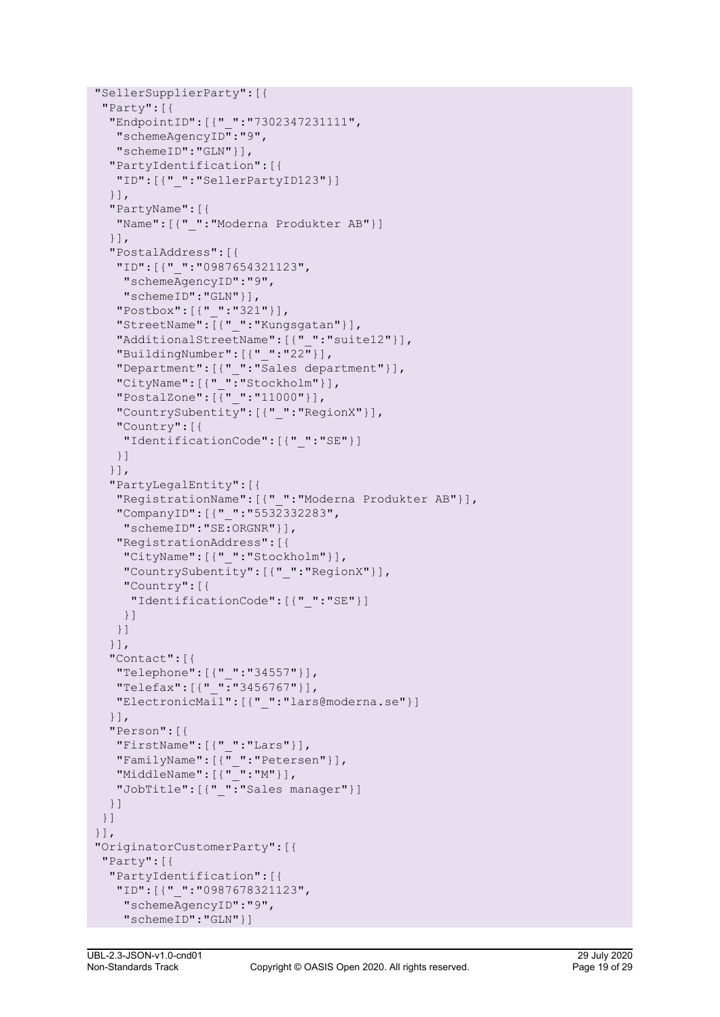```
 "SellerSupplierParty":[{
 "Party":[{
   "EndpointID":[{"_":"7302347231111",
   "schemeAgencyID":"9",
   "schemeID":"GLN"}],
   "PartyIdentification":[{
   "ID":[{"_":"SellerPartyID123"}]
   }],
   "PartyName":[{
   "Name":[{"_":"Moderna Produkter AB"}]
   }],
   "PostalAddress":[{
    "ID":[{"_":"0987654321123",
    "schemeAgencyID":"9",
    "schemeID":"GLN"}],
    "Postbox":[{"_":"321"}],
    "StreetName":[{"_":"Kungsgatan"}],
    "AdditionalStreetName":[{"_":"suite12"}],
   "BuildingNumber":[{''_ " : "22"}],
    "Department":[{"_":"Sales department"}],
    "CityName":[{"_":"Stockholm"}],
    "PostalZone":[{"_":"11000"}],
    "CountrySubentity":[{"_":"RegionX"}],
    "Country":[{
     "IdentificationCode":[{"_":"SE"}]
   }]
   }],
   "PartyLegalEntity":[{
   "RegistrationName":[{"_":"Moderna Produkter AB"}],
    "CompanyID":[{"_":"5532332283",
    "schemeID":"SE:ORGNR"}],
    "RegistrationAddress":[{
     "CityName":[{"_":"Stockholm"}],
     "CountrySubentity":[{"_":"RegionX"}],
     "Country":[{
      "IdentificationCode":[{"_":"SE"}]
    }]
    }]
   }],
   "Contact":[{
   "Telephone":[{"_":"34557"}],
   "Telefax":[{"_":"3456767"}],
   "ElectronicMail":[{"_":"lars@moderna.se"}]
   }],
   "Person":[{
   "FirstName":[{"_":"Lars"}],
  "FamilyName":[{"_":"Petersen"}],
  "Middlemame" : [{" " " " : "M" }],"JobTitle": [{" ":"Sales manager"}]
  }]
 }]
 }],
 "OriginatorCustomerParty":[{
 "Party":[{
   "PartyIdentification":[{
    "ID":[{"_":"0987678321123",
     "schemeAgencyID":"9",
     "schemeID":"GLN"}]
```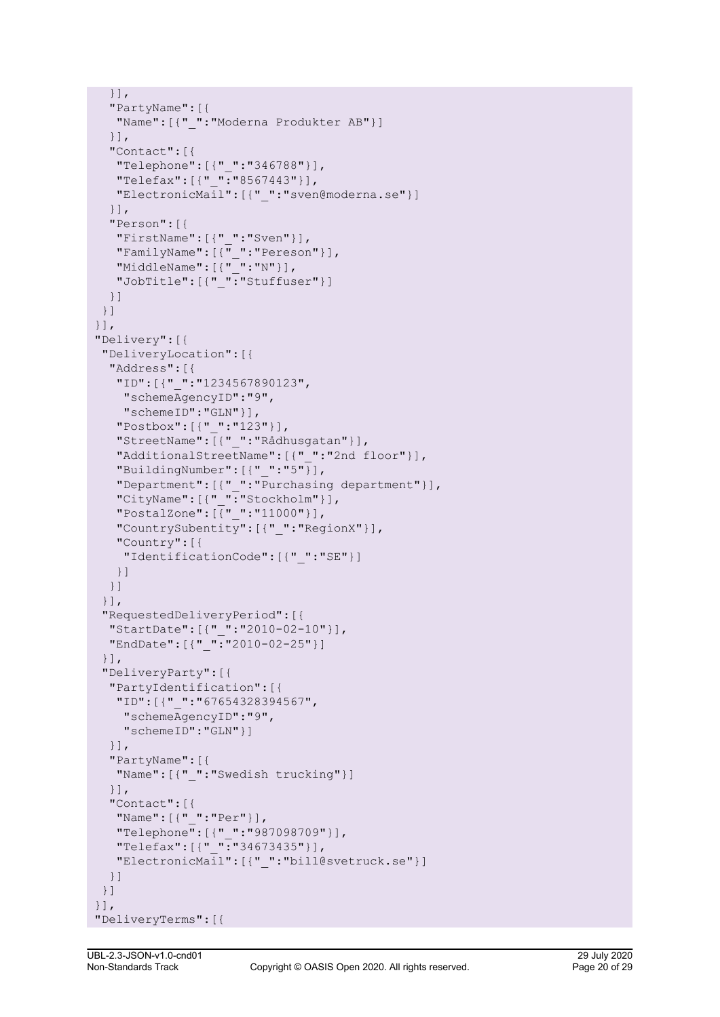```
 }],
   "PartyName":[{
   "Name":[{"_":"Moderna Produkter AB"}]
   }],
   "Contact":[{
   "Telephone":[{"_":"346788"}],
    "Telefax":[{"_":"8567443"}],
    "ElectronicMail":[{"_":"sven@moderna.se"}]
   }],
   "Person":[{
    "FirstName":[{"_":"Sven"}],
   "FamilyName":[\overline{\cdot \cdot}]":"Pereson"}],
   "Middlemame" : [{" " " " : "N" }], "JobTitle":[{"_":"Stuffuser"}]
  }]
 }]
 }],
 "Delivery":[{
 "DeliveryLocation":[{
   "Address":[{
    "ID":[{"_":"1234567890123",
    "schemeAgencyID":"9",
    "schemeID":"GLN"}],
    "Postbox":[{"_":"123"}],
    "StreetName":[{"_":"Rådhusgatan"}],
    "AdditionalStreetName":[{"_":"2nd floor"}],
   "BuildingNumber":[{-" : "5"}],
    "Department":[{"_":"Purchasing department"}],
    "CityName":[{"_":"Stockholm"}],
    "PostalZone":[{"_":"11000"}],
    "CountrySubentity":[{"_":"RegionX"}],
    "Country":[{
    "IdentificationCode":[{"_":"SE"}]
   }]
  }]
  }],
  "RequestedDeliveryPeriod":[{
   "StartDate":[{"_":"2010-02-10"}],
   "EndDate":[{"_":"2010-02-25"}]
  }],
  "DeliveryParty":[{
   "PartyIdentification":[{
   "ID":[{"_":"67654328394567",
     "schemeAgencyID":"9",
     "schemeID":"GLN"}]
   }],
   "PartyName":[{
   "Name":[{"_":"Swedish trucking"}]
   }],
   "Contact":[{
   "Name":[{"_":"Per"}],
    "Telephone":[{"_":"987098709"}],
    "Telefax":[{"_":"34673435"}],
    "ElectronicMail":[{"_":"bill@svetruck.se"}]
  }]
 }]
 }],
 "DeliveryTerms":[{
```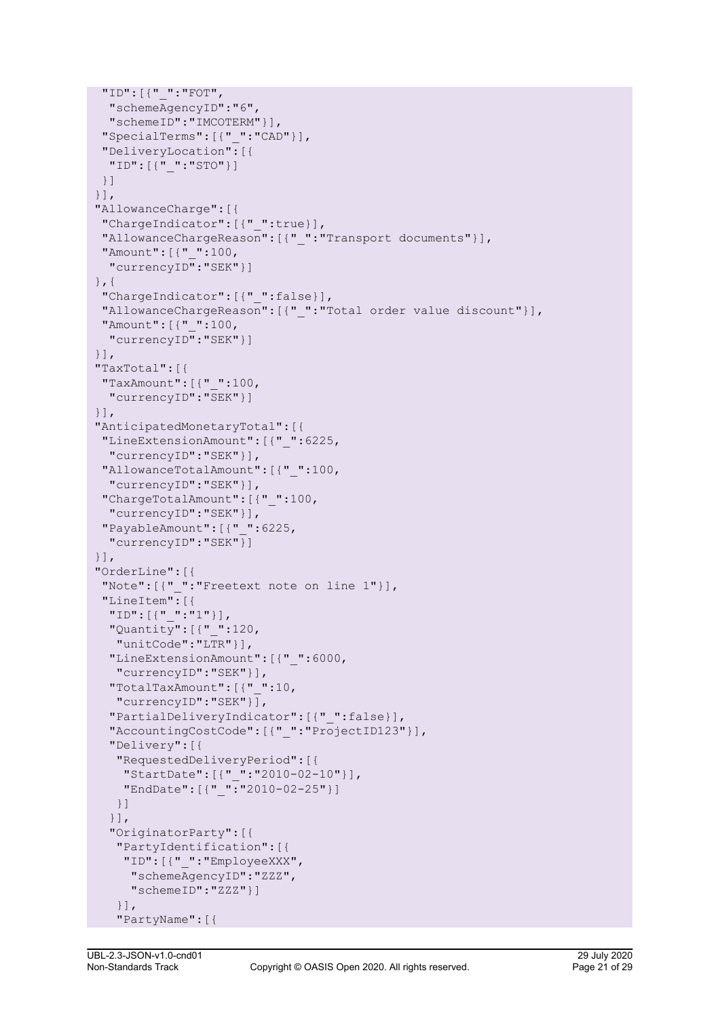```
 "ID":[{"_":"FOT",
  "schemeAgencyID":"6",
   "schemeID":"IMCOTERM"}],
 "SpecialTerms":[{"_":"CAD"}],
 "DeliveryLocation":[{
  "ID":[{"_":"STO"}]
 }]
 }],
 "AllowanceCharge":[{
 "ChargeIndicator":[{"_":true}],
 "AllowanceChargeReason":[{"_":"Transport documents"}],
 "Amount":[{"_":100,
  "currencyID":"SEK"}]
 },{
 "ChargeIndicator":[{"_":false}],
 "AllowanceChargeReason":[{"_":"Total order value discount"}],
 "Amount":[{"_":100,
  "currencyID":"SEK"}]
 }],
 "TaxTotal":[{
 "TaxAmount":[{"_":100,
  "currencyID":"SEK"}]
 }],
 "AnticipatedMonetaryTotal":[{
 "LineExtensionAmount":[{"_":6225,
  "currencyID":"SEK"}],
 "AllowanceTotalAmount":[{"_":100,
  "currencyID":"SEK"}],
 "ChargeTotalAmount":[{"_":100,
  "currencyID":"SEK"}],
 "PayableAmount":[{"_":6225,
  "currencyID":"SEK"}]
 }],
 "OrderLine":[{
 "Note":[{"_":"Freetext note on line 1"}],
 "LineItem":[{
  "ID":[{"_":"1"}],
   "Quantity":[{"_":120,
   "unitCode":"LTR"}],
   "LineExtensionAmount":[{"_":6000,
   "currencyID":"SEK"}],
   "TotalTaxAmount":[{"_":10,
   "currencyID":"SEK"}],
   "PartialDeliveryIndicator":[{"_":false}],
   "AccountingCostCode":[{"_":"ProjectID123"}],
   "Delivery":[{
    "RequestedDeliveryPeriod":[{
     "StartDate":[{"_":"2010-02-10"}],
   "EndDate": [{" ":"2010-02-25"}]
   }]
   }],
   "OriginatorParty":[{
    "PartyIdentification":[{
     "ID":[{"_":"EmployeeXXX",
      "schemeAgencyID":"ZZZ",
      "schemeID":"ZZZ"}]
    }],
    "PartyName":[{
```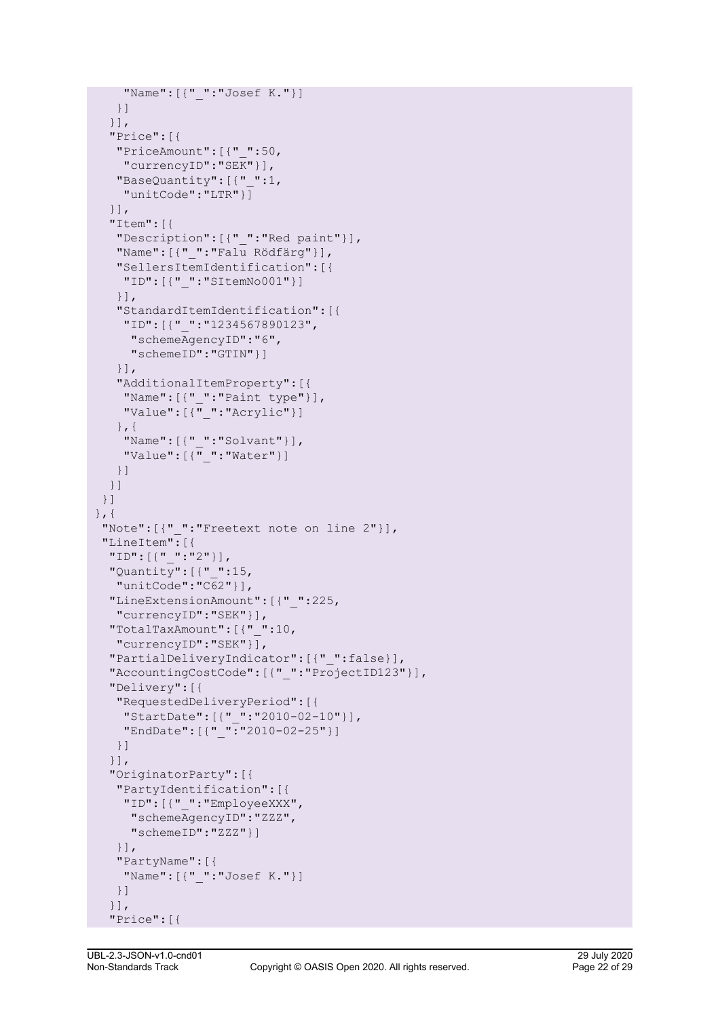```
 "Name":[{"_":"Josef K."}]
   }]
   }],
   "Price":[{
   "PriceAmount":[{"_":50,
    "currencyID":"SEK"}],
    "BaseQuantity":[{"_":1,
     "unitCode":"LTR"}]
   }],
   "Item":[{
    "Description":[{"_":"Red paint"}],
    "Name":[{"_":"Falu Rödfärg"}],
    "SellersItemIdentification":[{
    "ID":[{"_":"SItemNo001"}]
    }],
    "StandardItemIdentification":[{
     "ID":[{"_":"1234567890123",
      "schemeAgencyID":"6",
      "schemeID":"GTIN"}]
    }],
    "AdditionalItemProperty":[{
     "Name":[{"_":"Paint type"}],
    "Value":[\overline{\cdot\}":"Acrylic"}]
    },{
     "Name":[{"_":"Solvant"}],
    "Value":[\overline{\cdot\} ":"Water"}]
   }]
  }]
 }]
\}, {
 "Note":[{"_":"Freetext note on line 2"}],
 "LineItem":[{
  "ID":[{"_":"2"}],
  "Quantity":[{"_":15,
   "unitCode":"C62"}],
  "LineExtensionAmount":[{"_":225,
   "currencyID":"SEK"}],
  "TotalTaxAmount":[{"_":10,
   "currencyID":"SEK"}],
   "PartialDeliveryIndicator":[{"_":false}],
  "AccountingCostCode":[{"_":"ProjectID123"}],
   "Delivery":[{
   "RequestedDeliveryPeriod":[{
    "StartDate":[{"_":"2010-02-10"}],
   "EndDate": [{" ":"2010-02-25"}]
   }]
   }],
   "OriginatorParty":[{
   "PartyIdentification":[{
    "ID":[{"_":"EmployeeXXX",
      "schemeAgencyID":"ZZZ",
      "schemeID":"ZZZ"}]
    }],
    "PartyName":[{
     "Name":[{"_":"Josef K."}]
   }]
   }],
   "Price":[{
```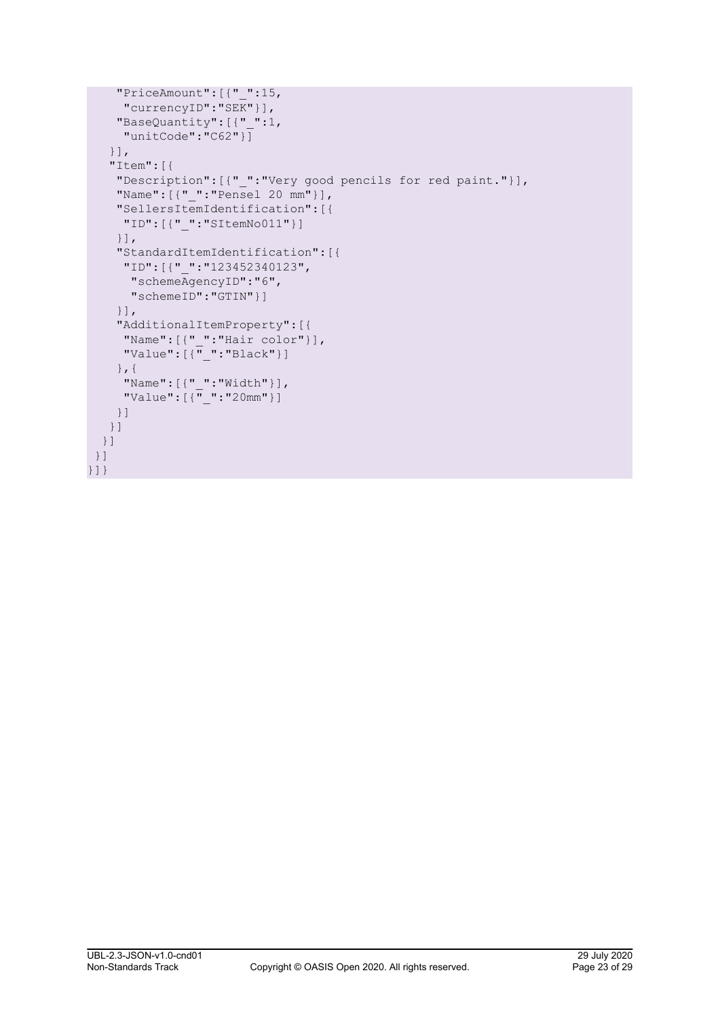```
 "PriceAmount":[{"_":15,
     "currencyID":"SEK"}],
     "BaseQuantity":[{"_":1,
      "unitCode":"C62"}]
    }],
    "Item":[{
     "Description":[{"_":"Very good pencils for red paint."}],
     "Name":[{"_":"Pensel 20 mm"}],
     "SellersItemIdentification":[{
      "ID":[{"_":"SItemNo011"}]
     }],
     "StandardItemIdentification":[{
      "ID":[{"_":"123452340123",
      "schemeAgencyID":"6",
      "schemeID":"GTIN"}]
     }],
     "AdditionalItemProperty":[{
 "Name":[{"_":"Hair color"}],
 "Value":[{"_":"Black"}]
     },{
      "Name":[{"_":"Width"}],
     "Value":[\{\overline{" " : "20mm" }]\} }]
    }]
  }]
 }]
}]}
```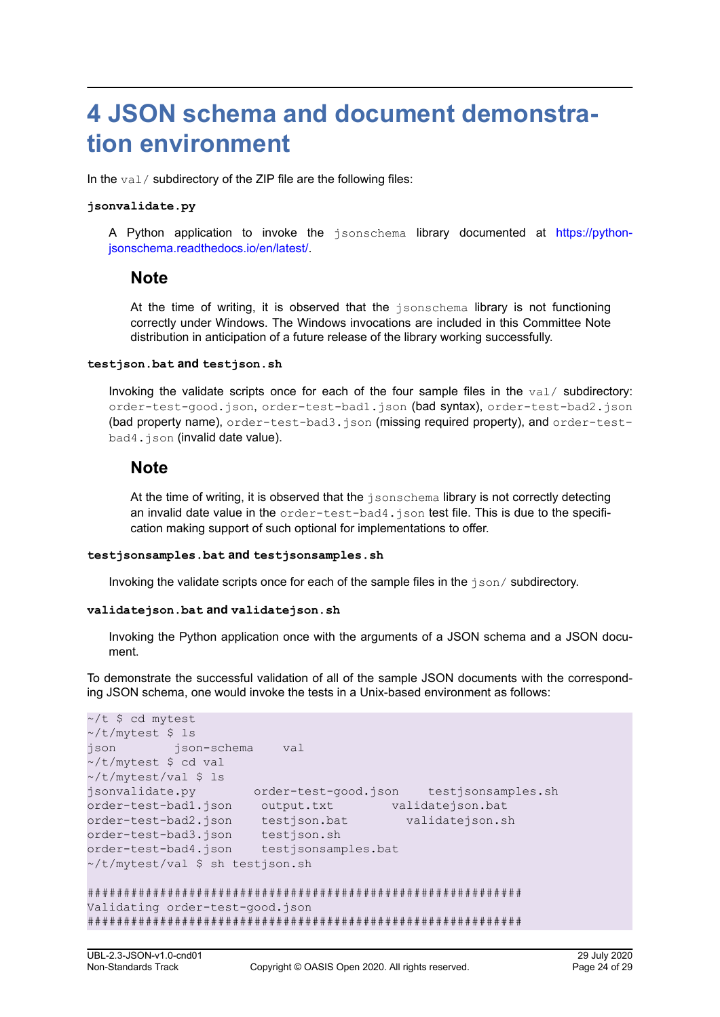# <span id="page-23-0"></span>**4 JSON schema and document demonstration environment**

In the val/ subdirectory of the ZIP file are the following files:

#### **jsonvalidate.py**

A Python application to invoke the jsonschema library documented at [https://python](https://python-jsonschema.readthedocs.io/en/latest/)[jsonschema.readthedocs.io/en/latest/](https://python-jsonschema.readthedocs.io/en/latest/).

### **Note**

At the time of writing, it is observed that the jsonschema library is not functioning correctly under Windows. The Windows invocations are included in this Committee Note distribution in anticipation of a future release of the library working successfully.

#### **testjson.bat and testjson.sh**

Invoking the validate scripts once for each of the four sample files in the  $val/$  subdirectory: order-test-good.json, order-test-bad1.json (bad syntax), order-test-bad2.json (bad property name), order-test-bad3.json (missing required property), and order-testbad4.json (invalid date value).

### **Note**

At the time of writing, it is observed that the  $\frac{1}{1}$  sonschema library is not correctly detecting an invalid date value in the order-test-bad4.json test file. This is due to the specification making support of such optional for implementations to offer.

#### **testjsonsamples.bat and testjsonsamples.sh**

Invoking the validate scripts once for each of the sample files in the json/ subdirectory.

#### **validatejson.bat and validatejson.sh**

Invoking the Python application once with the arguments of a JSON schema and a JSON document.

To demonstrate the successful validation of all of the sample JSON documents with the corresponding JSON schema, one would invoke the tests in a Unix-based environment as follows:

```
\sim/t $ cd mytest
\sim/t/mytest $ ls
json json-schema val
~/t/mytest $ cd val
~/t/mytest/val $ ls
jsonvalidate.py order-test-good.json testjsonsamples.sh
order-test-bad1.json output.txt validatejson.bat
order-test-bad2.json testjson.bat validatejson.sh
order-test-bad3.json testjson.sh
order-test-bad4.json testjsonsamples.bat
~/t/mytest/val $ sh testjson.sh 
############################################################
Validating order-test-good.json
############################################################
```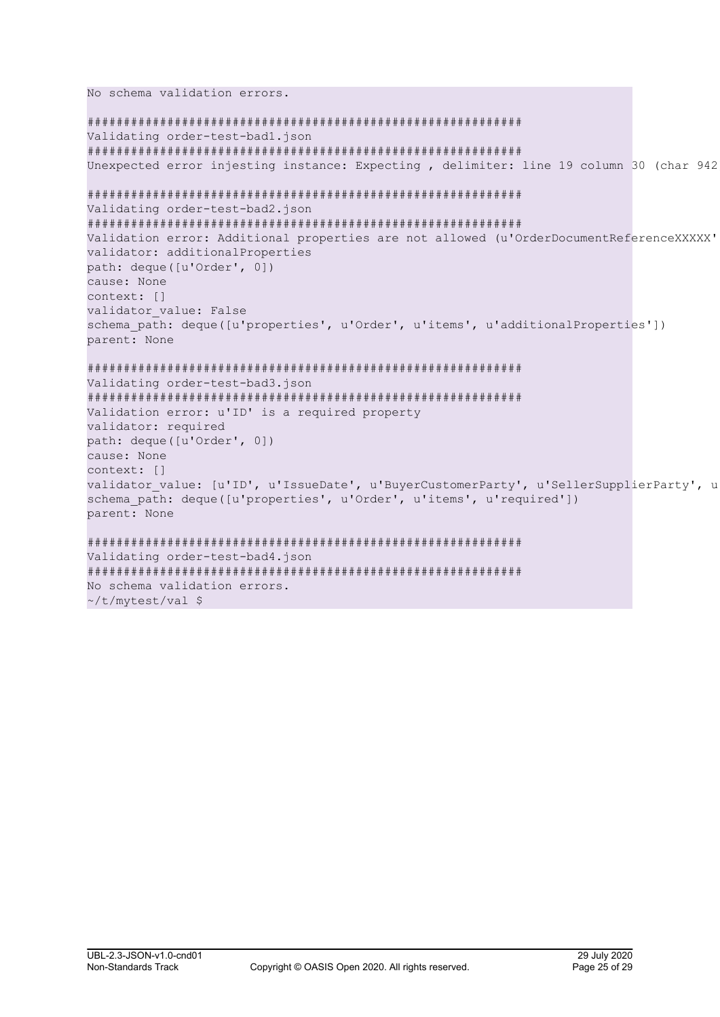```
No schema validation errors.
############################################################
Validating order-test-bad1.json
############################################################
Unexpected error injesting instance: Expecting , delimiter: line 19 column 30 (char 942)
############################################################
Validating order-test-bad2.json
############################################################
Validation error: Additional properties are not allowed (u'OrderDocumentReferenceXXXXX'
validator: additionalProperties
path: deque([u'Order', 0])
cause: None
context: []
validator value: False
schema path: deque([u'properties', u'Order', u'items', u'additionalProperties'])
parent: None
############################################################
Validating order-test-bad3.json
############################################################
Validation error: u'ID' is a required property
validator: required
path: deque([u'Order', 0])
cause: None
context: []
validator value: [u'ID', u'IssueDate', u'BuyerCustomerParty', u'SellerSupplierParty', u
schema path: deque([u'properties', u'Order', u'items', u'required'])
parent: None
############################################################
Validating order-test-bad4.json
############################################################
No schema validation errors.
~/t/mytest/val $
```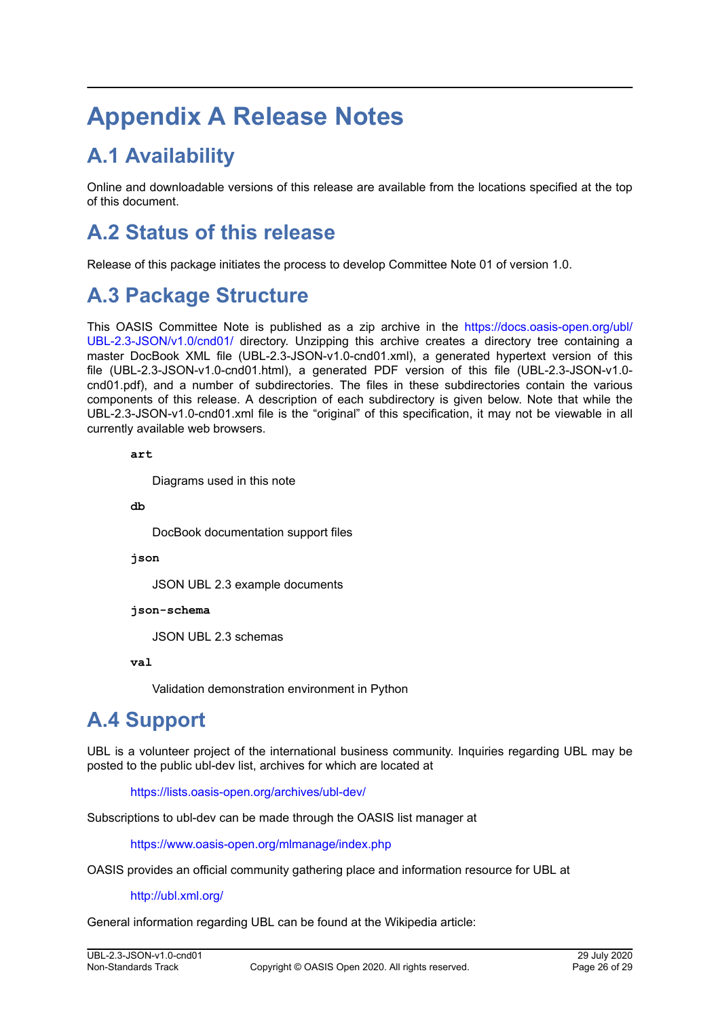# <span id="page-25-0"></span>**Appendix A Release Notes**

## **A.1 Availability**

Online and downloadable versions of this release are available from the locations specified at the top of this document.

## **A.2 Status of this release**

Release of this package initiates the process to develop Committee Note 01 of version 1.0.

## **A.3 Package Structure**

This OASIS Committee Note is published as a zip archive in the [https://docs.oasis-open.org/ubl/](https://docs.oasis-open.org/ubl/UBL-2.3-JSON/v1.0/cnd01/) [UBL-2.3-JSON/v1.0/cnd01/](https://docs.oasis-open.org/ubl/UBL-2.3-JSON/v1.0/cnd01/) directory. Unzipping this archive creates a directory tree containing a master DocBook XML file (UBL-2.3-JSON-v1.0-cnd01.xml), a generated hypertext version of this file (UBL-2.3-JSON-v1.0-cnd01.html), a generated PDF version of this file (UBL-2.3-JSON-v1.0 cnd01.pdf), and a number of subdirectories. The files in these subdirectories contain the various components of this release. A description of each subdirectory is given below. Note that while the UBL-2.3-JSON-v1.0-cnd01.xml file is the "original" of this specification, it may not be viewable in all currently available web browsers.

**art** 

Diagrams used in this note

**db** 

DocBook documentation support files

**json** 

JSON UBL 2.3 example documents

**json-schema** 

JSON UBL 2.3 schemas

**val** 

Validation demonstration environment in Python

## **A.4 Support**

UBL is a volunteer project of the international business community. Inquiries regarding UBL may be posted to the public ubl-dev list, archives for which are located at

<https://lists.oasis-open.org/archives/ubl-dev/>

Subscriptions to ubl-dev can be made through the OASIS list manager at

<https://www.oasis-open.org/mlmanage/index.php>

OASIS provides an official community gathering place and information resource for UBL at

<http://ubl.xml.org/>

General information regarding UBL can be found at the Wikipedia article: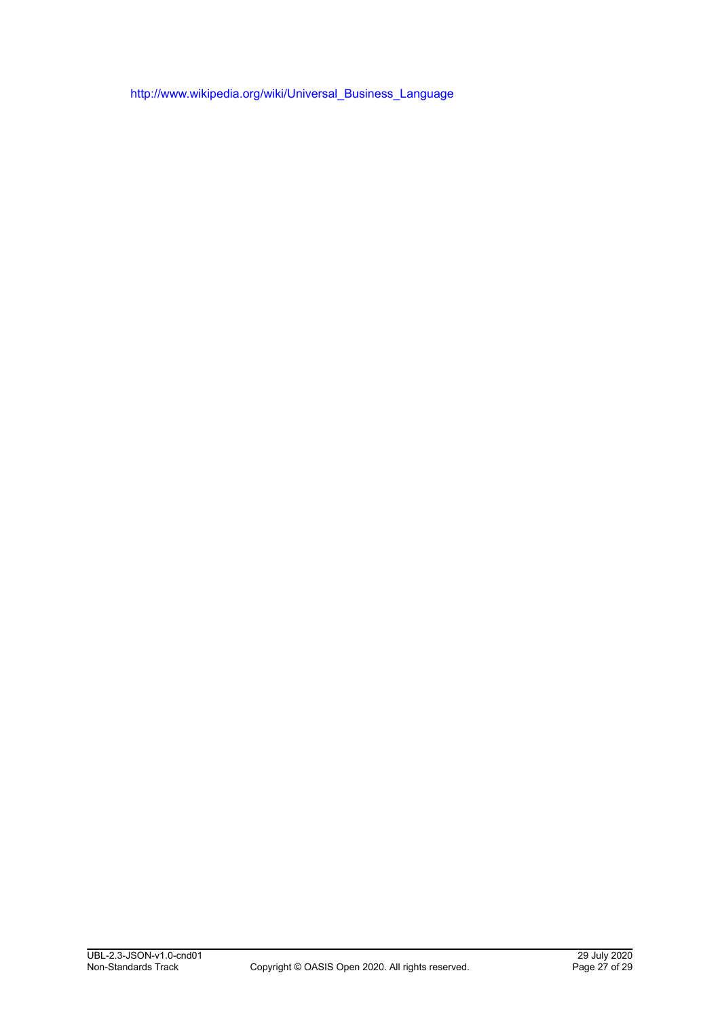[http://www.wikipedia.org/wiki/Universal\\_Business\\_Language](http://www.wikipedia.org/wiki/Universal_Business_Language)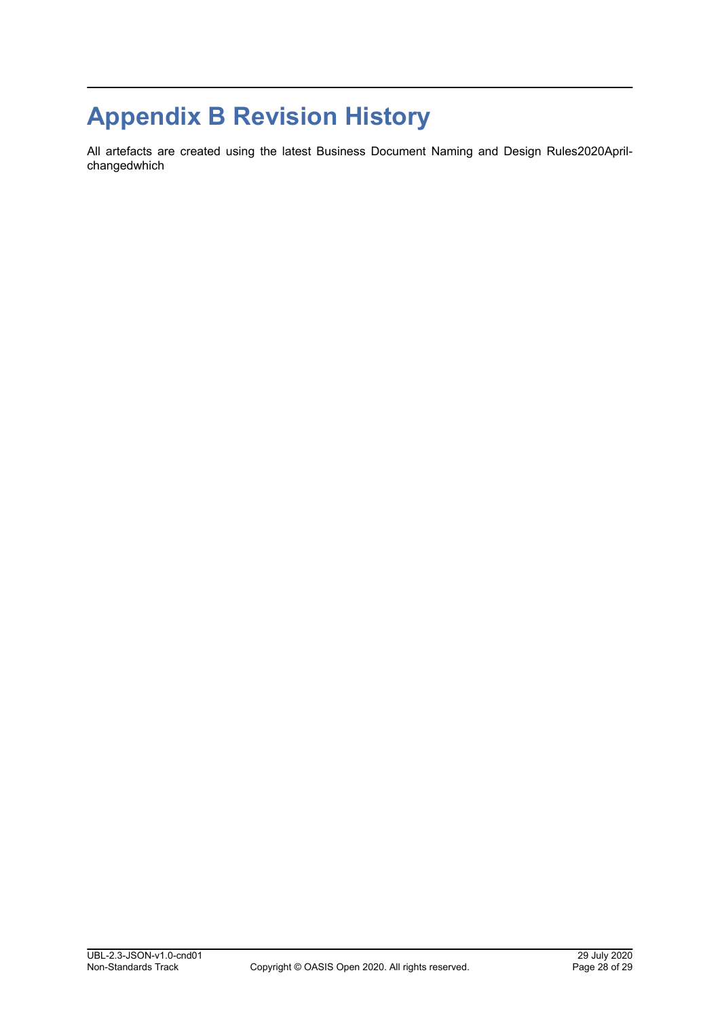# <span id="page-27-0"></span>**Appendix B Revision History**

All artefacts are created using the latest Business Document Naming and Design Rules2020Aprilchangedwhich